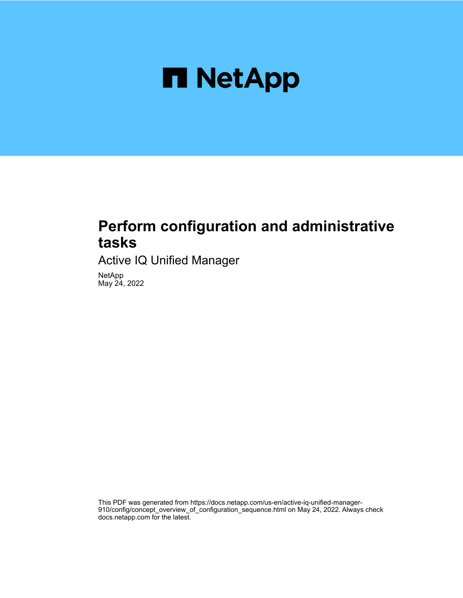

# **Perform configuration and administrative tasks**

Active IQ Unified Manager

NetApp May 24, 2022

This PDF was generated from https://docs.netapp.com/us-en/active-iq-unified-manager-910/config/concept\_overview\_of\_configuration\_sequence.html on May 24, 2022. Always check docs.netapp.com for the latest.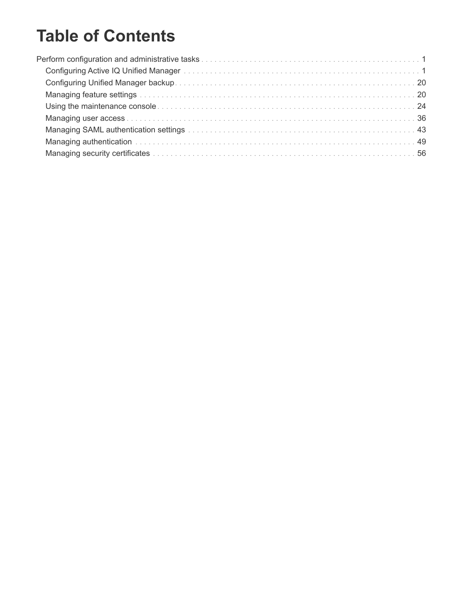# **Table of Contents**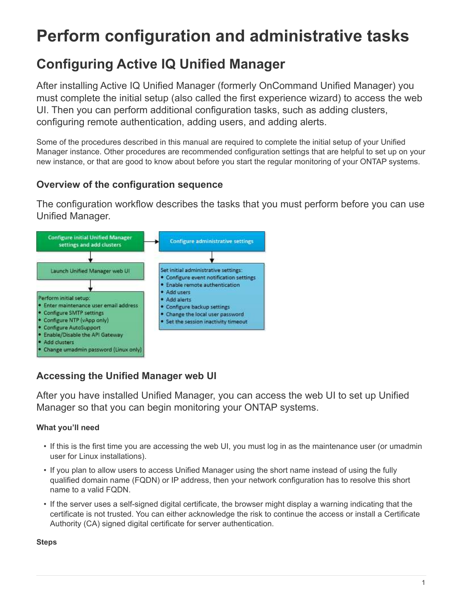# <span id="page-2-0"></span>**Perform configuration and administrative tasks**

# <span id="page-2-1"></span>**Configuring Active IQ Unified Manager**

After installing Active IQ Unified Manager (formerly OnCommand Unified Manager) you must complete the initial setup (also called the first experience wizard) to access the web UI. Then you can perform additional configuration tasks, such as adding clusters, configuring remote authentication, adding users, and adding alerts.

Some of the procedures described in this manual are required to complete the initial setup of your Unified Manager instance. Other procedures are recommended configuration settings that are helpful to set up on your new instance, or that are good to know about before you start the regular monitoring of your ONTAP systems.

# **Overview of the configuration sequence**

The configuration workflow describes the tasks that you must perform before you can use Unified Manager.



# **Accessing the Unified Manager web UI**

After you have installed Unified Manager, you can access the web UI to set up Unified Manager so that you can begin monitoring your ONTAP systems.

## **What you'll need**

- If this is the first time you are accessing the web UI, you must log in as the maintenance user (or umadmin user for Linux installations).
- If you plan to allow users to access Unified Manager using the short name instead of using the fully qualified domain name (FQDN) or IP address, then your network configuration has to resolve this short name to a valid FQDN.
- If the server uses a self-signed digital certificate, the browser might display a warning indicating that the certificate is not trusted. You can either acknowledge the risk to continue the access or install a Certificate Authority (CA) signed digital certificate for server authentication.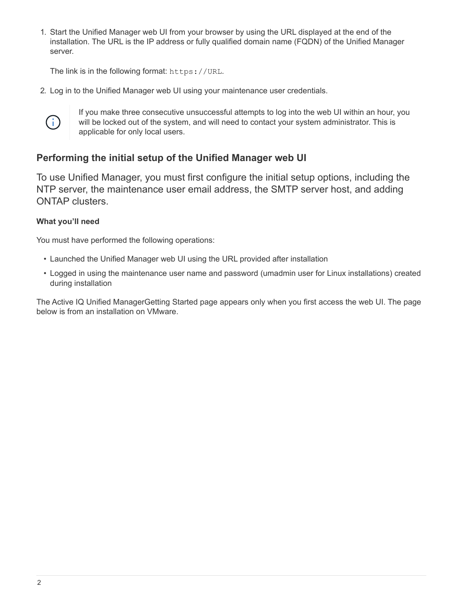1. Start the Unified Manager web UI from your browser by using the URL displayed at the end of the installation. The URL is the IP address or fully qualified domain name (FQDN) of the Unified Manager server.

The link is in the following format: https://URL.

2. Log in to the Unified Manager web UI using your maintenance user credentials.



If you make three consecutive unsuccessful attempts to log into the web UI within an hour, you will be locked out of the system, and will need to contact your system administrator. This is applicable for only local users.

## **Performing the initial setup of the Unified Manager web UI**

To use Unified Manager, you must first configure the initial setup options, including the NTP server, the maintenance user email address, the SMTP server host, and adding ONTAP clusters.

## **What you'll need**

You must have performed the following operations:

- Launched the Unified Manager web UI using the URL provided after installation
- Logged in using the maintenance user name and password (umadmin user for Linux installations) created during installation

The Active IQ Unified ManagerGetting Started page appears only when you first access the web UI. The page below is from an installation on VMware.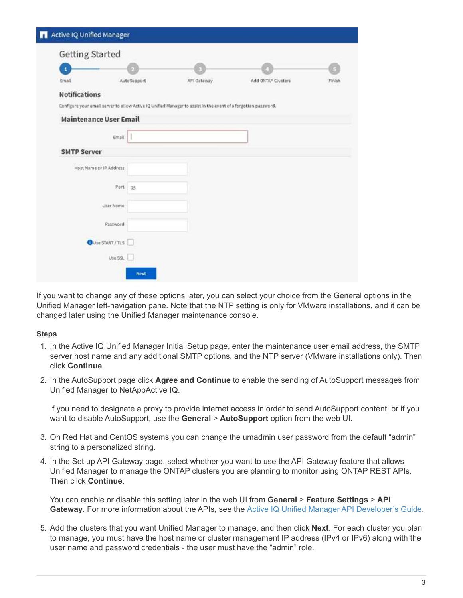| <b>Getting Started</b> |                                                                                                                |             |                    |        |
|------------------------|----------------------------------------------------------------------------------------------------------------|-------------|--------------------|--------|
|                        |                                                                                                                |             |                    |        |
| Email                  | AutoSupport                                                                                                    | AFI Gateway | Add ONTAP Clusters | Finish |
| <b>Notifications</b>   |                                                                                                                |             |                    |        |
|                        | Configure your email server to allow Active IQ Unified Manager to assist in the event of a forgotten password. |             |                    |        |
|                        | <b>Maintenance User Email</b>                                                                                  |             |                    |        |
|                        | Email                                                                                                          |             |                    |        |
| <b>SMTP Server</b>     |                                                                                                                |             |                    |        |
|                        | Host Name or IP Address                                                                                        |             |                    |        |
|                        | Port<br>25                                                                                                     |             |                    |        |
|                        | User Name                                                                                                      |             |                    |        |
|                        | Password                                                                                                       |             |                    |        |
|                        | <b>OUTE START / TLS</b>                                                                                        |             |                    |        |
|                        | Use SSL                                                                                                        |             |                    |        |

If you want to change any of these options later, you can select your choice from the General options in the Unified Manager left-navigation pane. Note that the NTP setting is only for VMware installations, and it can be changed later using the Unified Manager maintenance console.

#### **Steps**

- 1. In the Active IQ Unified Manager Initial Setup page, enter the maintenance user email address, the SMTP server host name and any additional SMTP options, and the NTP server (VMware installations only). Then click **Continue**.
- 2. In the AutoSupport page click **Agree and Continue** to enable the sending of AutoSupport messages from Unified Manager to NetAppActive IQ.

If you need to designate a proxy to provide internet access in order to send AutoSupport content, or if you want to disable AutoSupport, use the **General** > **AutoSupport** option from the web UI.

- 3. On Red Hat and CentOS systems you can change the umadmin user password from the default "admin" string to a personalized string.
- 4. In the Set up API Gateway page, select whether you want to use the API Gateway feature that allows Unified Manager to manage the ONTAP clusters you are planning to monitor using ONTAP REST APIs. Then click **Continue**.

You can enable or disable this setting later in the web UI from **General** > **Feature Settings** > **API Gateway**. For more information about the APIs, see the [Active IQ Unified Manager API Developer's Guide](https://docs.netapp.com/us-en/active-iq-unified-manager-910/api-automation/concept_get_started_with_um_apis.html).

5. Add the clusters that you want Unified Manager to manage, and then click **Next**. For each cluster you plan to manage, you must have the host name or cluster management IP address (IPv4 or IPv6) along with the user name and password credentials - the user must have the "admin" role.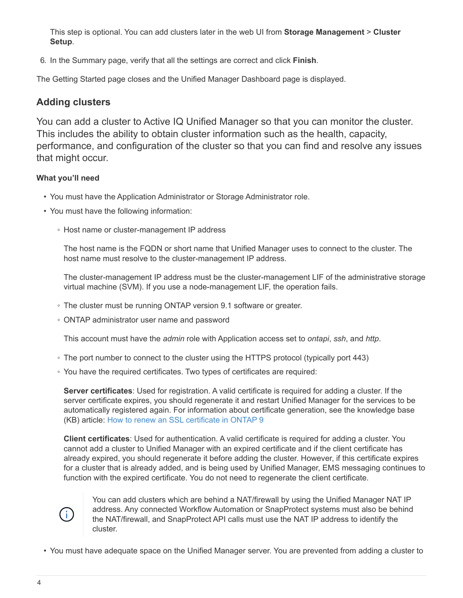This step is optional. You can add clusters later in the web UI from **Storage Management** > **Cluster Setup**.

6. In the Summary page, verify that all the settings are correct and click **Finish**.

The Getting Started page closes and the Unified Manager Dashboard page is displayed.

## **Adding clusters**

You can add a cluster to Active IQ Unified Manager so that you can monitor the cluster. This includes the ability to obtain cluster information such as the health, capacity, performance, and configuration of the cluster so that you can find and resolve any issues that might occur.

## **What you'll need**

- You must have the Application Administrator or Storage Administrator role.
- You must have the following information:
	- Host name or cluster-management IP address

The host name is the FQDN or short name that Unified Manager uses to connect to the cluster. The host name must resolve to the cluster-management IP address.

The cluster-management IP address must be the cluster-management LIF of the administrative storage virtual machine (SVM). If you use a node-management LIF, the operation fails.

- The cluster must be running ONTAP version 9.1 software or greater.
- ONTAP administrator user name and password

This account must have the *admin* role with Application access set to *ontapi*, *ssh*, and *http*.

- The port number to connect to the cluster using the HTTPS protocol (typically port 443)
- You have the required certificates. Two types of certificates are required:

**Server certificates**: Used for registration. A valid certificate is required for adding a cluster. If the server certificate expires, you should regenerate it and restart Unified Manager for the services to be automatically registered again. For information about certificate generation, see the knowledge base (KB) article: [How to renew an SSL certificate in ONTAP 9](https://kb.netapp.com/Advice_and_Troubleshooting/Data_Storage_Software/ONTAP_OS/How_to_renew_an_SSL_certificate_in_ONTAP_9)

**Client certificates**: Used for authentication. A valid certificate is required for adding a cluster. You cannot add a cluster to Unified Manager with an expired certificate and if the client certificate has already expired, you should regenerate it before adding the cluster. However, if this certificate expires for a cluster that is already added, and is being used by Unified Manager, EMS messaging continues to function with the expired certificate. You do not need to regenerate the client certificate.



You can add clusters which are behind a NAT/firewall by using the Unified Manager NAT IP address. Any connected Workflow Automation or SnapProtect systems must also be behind the NAT/firewall, and SnapProtect API calls must use the NAT IP address to identify the cluster.

• You must have adequate space on the Unified Manager server. You are prevented from adding a cluster to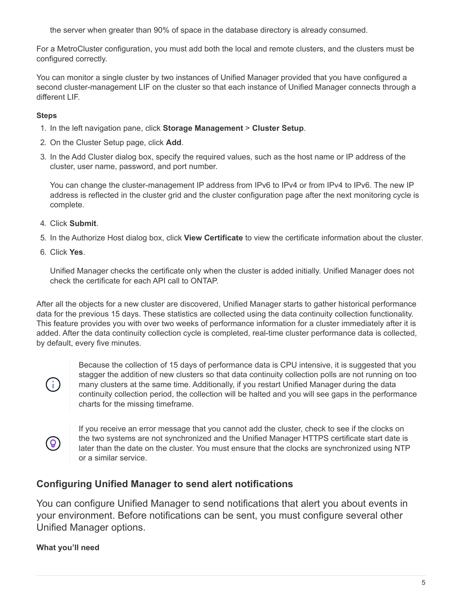the server when greater than 90% of space in the database directory is already consumed.

For a MetroCluster configuration, you must add both the local and remote clusters, and the clusters must be configured correctly.

You can monitor a single cluster by two instances of Unified Manager provided that you have configured a second cluster-management LIF on the cluster so that each instance of Unified Manager connects through a different LIF.

## **Steps**

- 1. In the left navigation pane, click **Storage Management** > **Cluster Setup**.
- 2. On the Cluster Setup page, click **Add**.
- 3. In the Add Cluster dialog box, specify the required values, such as the host name or IP address of the cluster, user name, password, and port number.

You can change the cluster-management IP address from IPv6 to IPv4 or from IPv4 to IPv6. The new IP address is reflected in the cluster grid and the cluster configuration page after the next monitoring cycle is complete.

- 4. Click **Submit**.
- 5. In the Authorize Host dialog box, click **View Certificate** to view the certificate information about the cluster.
- 6. Click **Yes**.

Unified Manager checks the certificate only when the cluster is added initially. Unified Manager does not check the certificate for each API call to ONTAP.

After all the objects for a new cluster are discovered, Unified Manager starts to gather historical performance data for the previous 15 days. These statistics are collected using the data continuity collection functionality. This feature provides you with over two weeks of performance information for a cluster immediately after it is added. After the data continuity collection cycle is completed, real-time cluster performance data is collected, by default, every five minutes.



Because the collection of 15 days of performance data is CPU intensive, it is suggested that you stagger the addition of new clusters so that data continuity collection polls are not running on too many clusters at the same time. Additionally, if you restart Unified Manager during the data continuity collection period, the collection will be halted and you will see gaps in the performance charts for the missing timeframe.



If you receive an error message that you cannot add the cluster, check to see if the clocks on the two systems are not synchronized and the Unified Manager HTTPS certificate start date is later than the date on the cluster. You must ensure that the clocks are synchronized using NTP or a similar service.

# **Configuring Unified Manager to send alert notifications**

You can configure Unified Manager to send notifications that alert you about events in your environment. Before notifications can be sent, you must configure several other Unified Manager options.

## **What you'll need**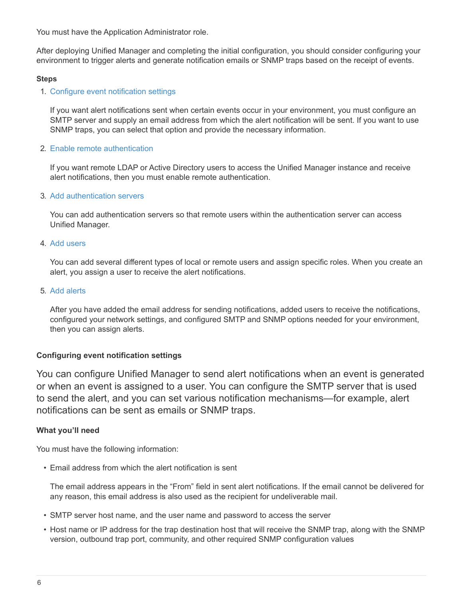You must have the Application Administrator role.

After deploying Unified Manager and completing the initial configuration, you should consider configuring your environment to trigger alerts and generate notification emails or SNMP traps based on the receipt of events.

#### **Steps**

1. [Configure event notification settings](#page-7-0)

If you want alert notifications sent when certain events occur in your environment, you must configure an SMTP server and supply an email address from which the alert notification will be sent. If you want to use SNMP traps, you can select that option and provide the necessary information.

2. [Enable remote authentication](#page-8-0)

If you want remote LDAP or Active Directory users to access the Unified Manager instance and receive alert notifications, then you must enable remote authentication.

3. [Add authentication servers](#page-11-0)

You can add authentication servers so that remote users within the authentication server can access Unified Manager.

#### 4. [Add users](#page-37-1)

You can add several different types of local or remote users and assign specific roles. When you create an alert, you assign a user to receive the alert notifications.

#### 5. [Add alerts](#page-13-0)

After you have added the email address for sending notifications, added users to receive the notifications, configured your network settings, and configured SMTP and SNMP options needed for your environment, then you can assign alerts.

## <span id="page-7-0"></span>**Configuring event notification settings**

You can configure Unified Manager to send alert notifications when an event is generated or when an event is assigned to a user. You can configure the SMTP server that is used to send the alert, and you can set various notification mechanisms—for example, alert notifications can be sent as emails or SNMP traps.

## **What you'll need**

You must have the following information:

• Email address from which the alert notification is sent

The email address appears in the "From" field in sent alert notifications. If the email cannot be delivered for any reason, this email address is also used as the recipient for undeliverable mail.

- SMTP server host name, and the user name and password to access the server
- Host name or IP address for the trap destination host that will receive the SNMP trap, along with the SNMP version, outbound trap port, community, and other required SNMP configuration values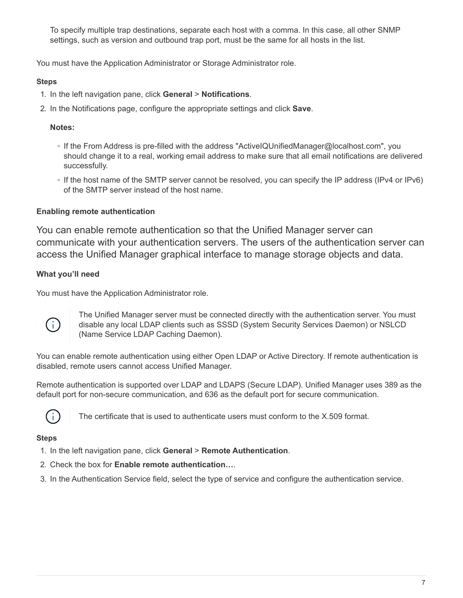To specify multiple trap destinations, separate each host with a comma. In this case, all other SNMP settings, such as version and outbound trap port, must be the same for all hosts in the list.

You must have the Application Administrator or Storage Administrator role.

## **Steps**

- 1. In the left navigation pane, click **General** > **Notifications**.
- 2. In the Notifications page, configure the appropriate settings and click **Save**.

## **Notes:**

- If the From Address is pre-filled with the address "ActiveIQUnifiedManager@localhost.com", you should change it to a real, working email address to make sure that all email notifications are delivered successfully.
- If the host name of the SMTP server cannot be resolved, you can specify the IP address (IPv4 or IPv6) of the SMTP server instead of the host name.

## <span id="page-8-0"></span>**Enabling remote authentication**

You can enable remote authentication so that the Unified Manager server can communicate with your authentication servers. The users of the authentication server can access the Unified Manager graphical interface to manage storage objects and data.

## **What you'll need**

You must have the Application Administrator role.



The Unified Manager server must be connected directly with the authentication server. You must disable any local LDAP clients such as SSSD (System Security Services Daemon) or NSLCD (Name Service LDAP Caching Daemon).

You can enable remote authentication using either Open LDAP or Active Directory. If remote authentication is disabled, remote users cannot access Unified Manager.

Remote authentication is supported over LDAP and LDAPS (Secure LDAP). Unified Manager uses 389 as the default port for non-secure communication, and 636 as the default port for secure communication.



The certificate that is used to authenticate users must conform to the X.509 format.

- 1. In the left navigation pane, click **General** > **Remote Authentication**.
- 2. Check the box for **Enable remote authentication…**.
- 3. In the Authentication Service field, select the type of service and configure the authentication service.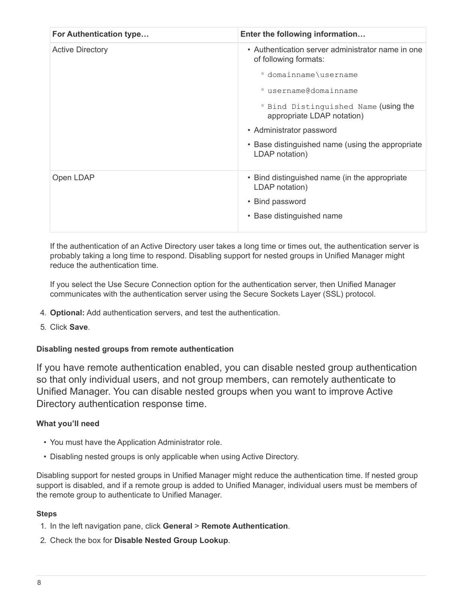| For Authentication type | Enter the following information                                            |
|-------------------------|----------------------------------------------------------------------------|
| <b>Active Directory</b> | • Authentication server administrator name in one<br>of following formats: |
|                         | ° domainname\username                                                      |
|                         | ° username@domainname                                                      |
|                         | ° Bind Distinguished Name (using the<br>appropriate LDAP notation)         |
|                         | • Administrator password                                                   |
|                         | • Base distinguished name (using the appropriate<br>LDAP notation)         |
| Open LDAP               | • Bind distinguished name (in the appropriate<br>LDAP notation)            |
|                         | • Bind password                                                            |
|                         | • Base distinguished name                                                  |

If the authentication of an Active Directory user takes a long time or times out, the authentication server is probably taking a long time to respond. Disabling support for nested groups in Unified Manager might reduce the authentication time.

If you select the Use Secure Connection option for the authentication server, then Unified Manager communicates with the authentication server using the Secure Sockets Layer (SSL) protocol.

- 4. **Optional:** Add authentication servers, and test the authentication.
- 5. Click **Save**.

## **Disabling nested groups from remote authentication**

If you have remote authentication enabled, you can disable nested group authentication so that only individual users, and not group members, can remotely authenticate to Unified Manager. You can disable nested groups when you want to improve Active Directory authentication response time.

## **What you'll need**

- You must have the Application Administrator role.
- Disabling nested groups is only applicable when using Active Directory.

Disabling support for nested groups in Unified Manager might reduce the authentication time. If nested group support is disabled, and if a remote group is added to Unified Manager, individual users must be members of the remote group to authenticate to Unified Manager.

- 1. In the left navigation pane, click **General** > **Remote Authentication**.
- 2. Check the box for **Disable Nested Group Lookup**.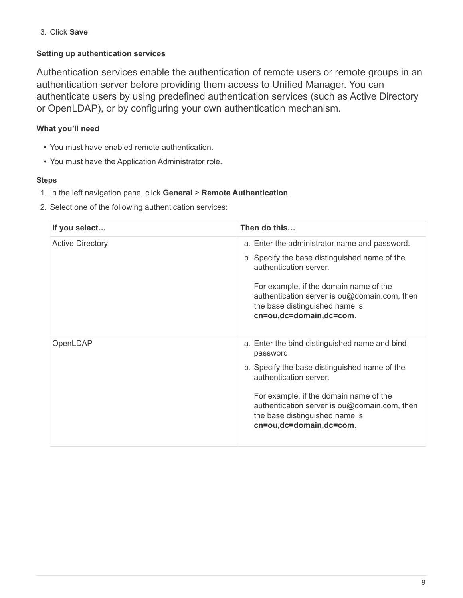3. Click **Save**.

## **Setting up authentication services**

Authentication services enable the authentication of remote users or remote groups in an authentication server before providing them access to Unified Manager. You can authenticate users by using predefined authentication services (such as Active Directory or OpenLDAP), or by configuring your own authentication mechanism.

## **What you'll need**

- You must have enabled remote authentication.
- You must have the Application Administrator role.

- 1. In the left navigation pane, click **General** > **Remote Authentication**.
- 2. Select one of the following authentication services:

| If you select           | Then do this                                                                                                                                        |
|-------------------------|-----------------------------------------------------------------------------------------------------------------------------------------------------|
| <b>Active Directory</b> | a. Enter the administrator name and password.                                                                                                       |
|                         | b. Specify the base distinguished name of the<br>authentication server.                                                                             |
|                         | For example, if the domain name of the<br>authentication server is ou@domain.com, then<br>the base distinguished name is<br>cn=ou,dc=domain,dc=com. |
| OpenLDAP                | a. Enter the bind distinguished name and bind<br>password.                                                                                          |
|                         | b. Specify the base distinguished name of the<br>authentication server.                                                                             |
|                         | For example, if the domain name of the<br>authentication server is ou@domain.com, then<br>the base distinguished name is<br>cn=ou,dc=domain,dc=com. |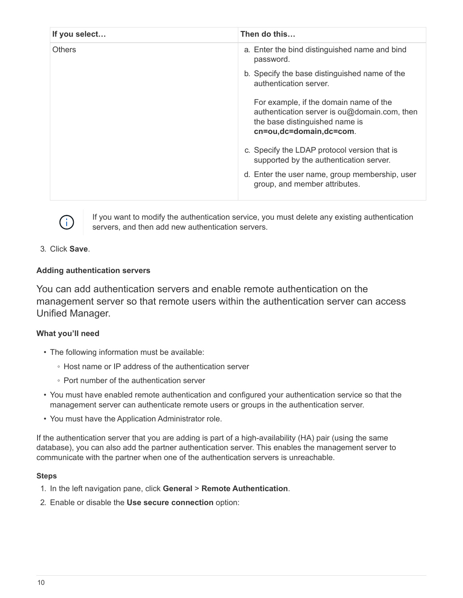| If you select | Then do this                                                                                                                                        |
|---------------|-----------------------------------------------------------------------------------------------------------------------------------------------------|
| <b>Others</b> | a. Enter the bind distinguished name and bind<br>password.                                                                                          |
|               | b. Specify the base distinguished name of the<br>authentication server.                                                                             |
|               | For example, if the domain name of the<br>authentication server is ou@domain.com, then<br>the base distinguished name is<br>cn=ou,dc=domain,dc=com. |
|               | c. Specify the LDAP protocol version that is<br>supported by the authentication server.                                                             |
|               | d. Enter the user name, group membership, user<br>group, and member attributes.                                                                     |



If you want to modify the authentication service, you must delete any existing authentication servers, and then add new authentication servers.

## 3. Click **Save**.

## <span id="page-11-0"></span>**Adding authentication servers**

You can add authentication servers and enable remote authentication on the management server so that remote users within the authentication server can access Unified Manager.

## **What you'll need**

- The following information must be available:
	- Host name or IP address of the authentication server
	- Port number of the authentication server
- You must have enabled remote authentication and configured your authentication service so that the management server can authenticate remote users or groups in the authentication server.
- You must have the Application Administrator role.

If the authentication server that you are adding is part of a high-availability (HA) pair (using the same database), you can also add the partner authentication server. This enables the management server to communicate with the partner when one of the authentication servers is unreachable.

- 1. In the left navigation pane, click **General** > **Remote Authentication**.
- 2. Enable or disable the **Use secure connection** option: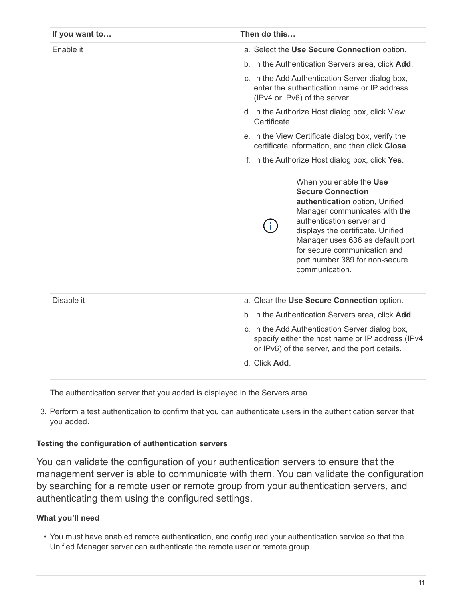| If you want to | Then do this                                                                                                                                                                                                                                                                                                           |
|----------------|------------------------------------------------------------------------------------------------------------------------------------------------------------------------------------------------------------------------------------------------------------------------------------------------------------------------|
| Enable it      | a. Select the Use Secure Connection option.                                                                                                                                                                                                                                                                            |
|                | b. In the Authentication Servers area, click Add.                                                                                                                                                                                                                                                                      |
|                | c. In the Add Authentication Server dialog box,<br>enter the authentication name or IP address<br>(IPv4 or IPv6) of the server.                                                                                                                                                                                        |
|                | d. In the Authorize Host dialog box, click View<br>Certificate.                                                                                                                                                                                                                                                        |
|                | e. In the View Certificate dialog box, verify the<br>certificate information, and then click Close.                                                                                                                                                                                                                    |
|                | f. In the Authorize Host dialog box, click Yes.                                                                                                                                                                                                                                                                        |
|                | When you enable the Use<br><b>Secure Connection</b><br>authentication option, Unified<br>Manager communicates with the<br>authentication server and<br>Ť.<br>displays the certificate. Unified<br>Manager uses 636 as default port<br>for secure communication and<br>port number 389 for non-secure<br>communication. |
| Disable it     | a. Clear the Use Secure Connection option.<br>b. In the Authentication Servers area, click Add.<br>c. In the Add Authentication Server dialog box,<br>specify either the host name or IP address (IPv4<br>or IPv6) of the server, and the port details.<br>d. Click Add.                                               |

The authentication server that you added is displayed in the Servers area.

3. Perform a test authentication to confirm that you can authenticate users in the authentication server that you added.

## **Testing the configuration of authentication servers**

You can validate the configuration of your authentication servers to ensure that the management server is able to communicate with them. You can validate the configuration by searching for a remote user or remote group from your authentication servers, and authenticating them using the configured settings.

## **What you'll need**

• You must have enabled remote authentication, and configured your authentication service so that the Unified Manager server can authenticate the remote user or remote group.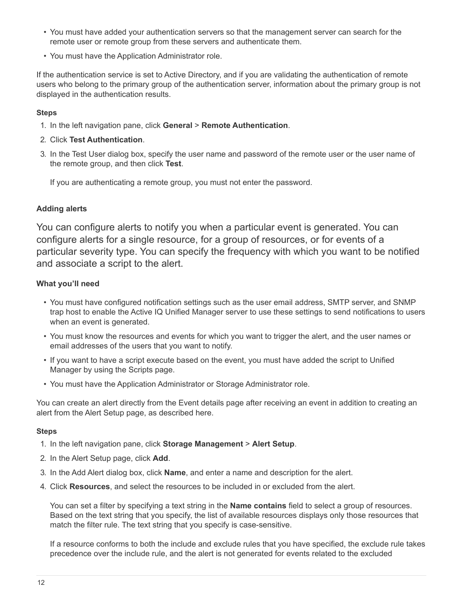- You must have added your authentication servers so that the management server can search for the remote user or remote group from these servers and authenticate them.
- You must have the Application Administrator role.

If the authentication service is set to Active Directory, and if you are validating the authentication of remote users who belong to the primary group of the authentication server, information about the primary group is not displayed in the authentication results.

## **Steps**

- 1. In the left navigation pane, click **General** > **Remote Authentication**.
- 2. Click **Test Authentication**.
- 3. In the Test User dialog box, specify the user name and password of the remote user or the user name of the remote group, and then click **Test**.

If you are authenticating a remote group, you must not enter the password.

## <span id="page-13-0"></span>**Adding alerts**

You can configure alerts to notify you when a particular event is generated. You can configure alerts for a single resource, for a group of resources, or for events of a particular severity type. You can specify the frequency with which you want to be notified and associate a script to the alert.

## **What you'll need**

- You must have configured notification settings such as the user email address, SMTP server, and SNMP trap host to enable the Active IQ Unified Manager server to use these settings to send notifications to users when an event is generated.
- You must know the resources and events for which you want to trigger the alert, and the user names or email addresses of the users that you want to notify.
- If you want to have a script execute based on the event, you must have added the script to Unified Manager by using the Scripts page.
- You must have the Application Administrator or Storage Administrator role.

You can create an alert directly from the Event details page after receiving an event in addition to creating an alert from the Alert Setup page, as described here.

## **Steps**

- 1. In the left navigation pane, click **Storage Management** > **Alert Setup**.
- 2. In the Alert Setup page, click **Add**.
- 3. In the Add Alert dialog box, click **Name**, and enter a name and description for the alert.
- 4. Click **Resources**, and select the resources to be included in or excluded from the alert.

You can set a filter by specifying a text string in the **Name contains** field to select a group of resources. Based on the text string that you specify, the list of available resources displays only those resources that match the filter rule. The text string that you specify is case-sensitive.

If a resource conforms to both the include and exclude rules that you have specified, the exclude rule takes precedence over the include rule, and the alert is not generated for events related to the excluded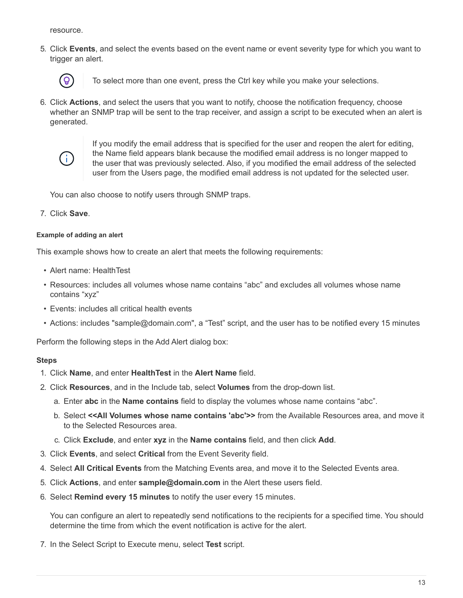resource.

5. Click **Events**, and select the events based on the event name or event severity type for which you want to trigger an alert.



To select more than one event, press the Ctrl key while you make your selections.

6. Click **Actions**, and select the users that you want to notify, choose the notification frequency, choose whether an SNMP trap will be sent to the trap receiver, and assign a script to be executed when an alert is generated.



If you modify the email address that is specified for the user and reopen the alert for editing, the Name field appears blank because the modified email address is no longer mapped to the user that was previously selected. Also, if you modified the email address of the selected user from the Users page, the modified email address is not updated for the selected user.

You can also choose to notify users through SNMP traps.

7. Click **Save**.

#### **Example of adding an alert**

This example shows how to create an alert that meets the following requirements:

- Alert name: HealthTest
- Resources: includes all volumes whose name contains "abc" and excludes all volumes whose name contains "xyz"
- Events: includes all critical health events
- Actions: includes "sample@domain.com", a "Test" script, and the user has to be notified every 15 minutes

Perform the following steps in the Add Alert dialog box:

#### **Steps**

- 1. Click **Name**, and enter **HealthTest** in the **Alert Name** field.
- 2. Click **Resources**, and in the Include tab, select **Volumes** from the drop-down list.
	- a. Enter **abc** in the **Name contains** field to display the volumes whose name contains "abc".
	- b. Select **<<All Volumes whose name contains 'abc'>>** from the Available Resources area, and move it to the Selected Resources area.
	- c. Click **Exclude**, and enter **xyz** in the **Name contains** field, and then click **Add**.
- 3. Click **Events**, and select **Critical** from the Event Severity field.
- 4. Select **All Critical Events** from the Matching Events area, and move it to the Selected Events area.
- 5. Click **Actions**, and enter **sample@domain.com** in the Alert these users field.
- 6. Select **Remind every 15 minutes** to notify the user every 15 minutes.

You can configure an alert to repeatedly send notifications to the recipients for a specified time. You should determine the time from which the event notification is active for the alert.

7. In the Select Script to Execute menu, select **Test** script.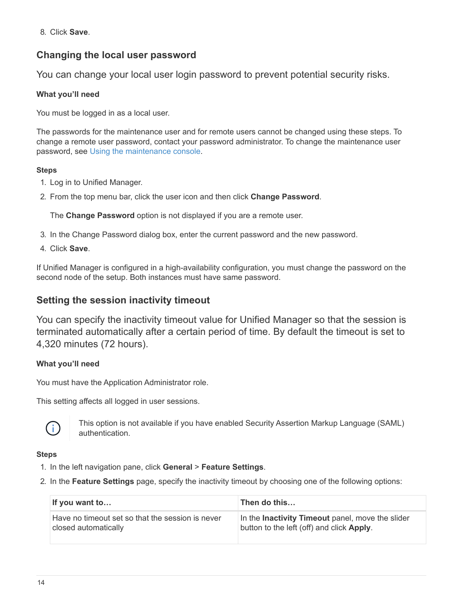8. Click **Save**.

# **Changing the local user password**

You can change your local user login password to prevent potential security risks.

## **What you'll need**

You must be logged in as a local user.

The passwords for the maintenance user and for remote users cannot be changed using these steps. To change a remote user password, contact your password administrator. To change the maintenance user password, see [Using the maintenance console](#page-25-0).

## **Steps**

- 1. Log in to Unified Manager.
- 2. From the top menu bar, click the user icon and then click **Change Password**.

The **Change Password** option is not displayed if you are a remote user.

- 3. In the Change Password dialog box, enter the current password and the new password.
- 4. Click **Save**.

If Unified Manager is configured in a high-availability configuration, you must change the password on the second node of the setup. Both instances must have same password.

## **Setting the session inactivity timeout**

You can specify the inactivity timeout value for Unified Manager so that the session is terminated automatically after a certain period of time. By default the timeout is set to 4,320 minutes (72 hours).

## **What you'll need**

You must have the Application Administrator role.

This setting affects all logged in user sessions.



This option is not available if you have enabled Security Assertion Markup Language (SAML) authentication.

- 1. In the left navigation pane, click **General** > **Feature Settings**.
- 2. In the **Feature Settings** page, specify the inactivity timeout by choosing one of the following options:

| If you want to                                   | Then do this                                     |
|--------------------------------------------------|--------------------------------------------------|
| Have no timeout set so that the session is never | In the Inactivity Timeout panel, move the slider |
| closed automatically                             | button to the left (off) and click Apply.        |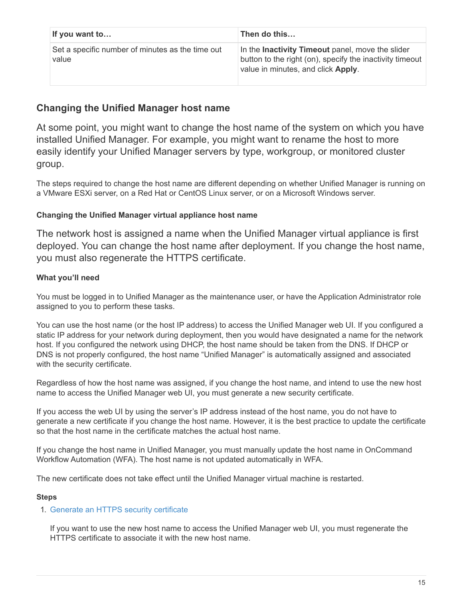| If you want to                                            | Then do this                                                                                                                                       |
|-----------------------------------------------------------|----------------------------------------------------------------------------------------------------------------------------------------------------|
| Set a specific number of minutes as the time out<br>value | In the Inactivity Timeout panel, move the slider<br>button to the right (on), specify the inactivity timeout<br>value in minutes, and click Apply. |

# **Changing the Unified Manager host name**

At some point, you might want to change the host name of the system on which you have installed Unified Manager. For example, you might want to rename the host to more easily identify your Unified Manager servers by type, workgroup, or monitored cluster group.

The steps required to change the host name are different depending on whether Unified Manager is running on a VMware ESXi server, on a Red Hat or CentOS Linux server, or on a Microsoft Windows server.

## **Changing the Unified Manager virtual appliance host name**

The network host is assigned a name when the Unified Manager virtual appliance is first deployed. You can change the host name after deployment. If you change the host name, you must also regenerate the HTTPS certificate.

## **What you'll need**

You must be logged in to Unified Manager as the maintenance user, or have the Application Administrator role assigned to you to perform these tasks.

You can use the host name (or the host IP address) to access the Unified Manager web UI. If you configured a static IP address for your network during deployment, then you would have designated a name for the network host. If you configured the network using DHCP, the host name should be taken from the DNS. If DHCP or DNS is not properly configured, the host name "Unified Manager" is automatically assigned and associated with the security certificate.

Regardless of how the host name was assigned, if you change the host name, and intend to use the new host name to access the Unified Manager web UI, you must generate a new security certificate.

If you access the web UI by using the server's IP address instead of the host name, you do not have to generate a new certificate if you change the host name. However, it is the best practice to update the certificate so that the host name in the certificate matches the actual host name.

If you change the host name in Unified Manager, you must manually update the host name in OnCommand Workflow Automation (WFA). The host name is not updated automatically in WFA.

The new certificate does not take effect until the Unified Manager virtual machine is restarted.

## **Steps**

## 1. [Generate an HTTPS security certificate](#page-17-0)

If you want to use the new host name to access the Unified Manager web UI, you must regenerate the HTTPS certificate to associate it with the new host name.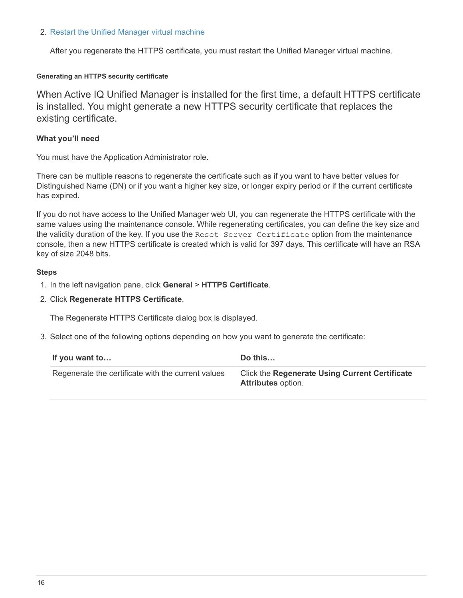#### 2. [Restart the Unified Manager virtual machine](#page-19-0)

After you regenerate the HTTPS certificate, you must restart the Unified Manager virtual machine.

#### <span id="page-17-0"></span>**Generating an HTTPS security certificate**

When Active IQ Unified Manager is installed for the first time, a default HTTPS certificate is installed. You might generate a new HTTPS security certificate that replaces the existing certificate.

#### **What you'll need**

You must have the Application Administrator role.

There can be multiple reasons to regenerate the certificate such as if you want to have better values for Distinguished Name (DN) or if you want a higher key size, or longer expiry period or if the current certificate has expired.

If you do not have access to the Unified Manager web UI, you can regenerate the HTTPS certificate with the same values using the maintenance console. While regenerating certificates, you can define the key size and the validity duration of the key. If you use the Reset Server Certificate option from the maintenance console, then a new HTTPS certificate is created which is valid for 397 days. This certificate will have an RSA key of size 2048 bits.

#### **Steps**

- 1. In the left navigation pane, click **General** > **HTTPS Certificate**.
- 2. Click **Regenerate HTTPS Certificate**.

The Regenerate HTTPS Certificate dialog box is displayed.

3. Select one of the following options depending on how you want to generate the certificate:

| If you want to                                     | Do this                                                                            |
|----------------------------------------------------|------------------------------------------------------------------------------------|
| Regenerate the certificate with the current values | <b>Click the Regenerate Using Current Certificate</b><br><b>Attributes option.</b> |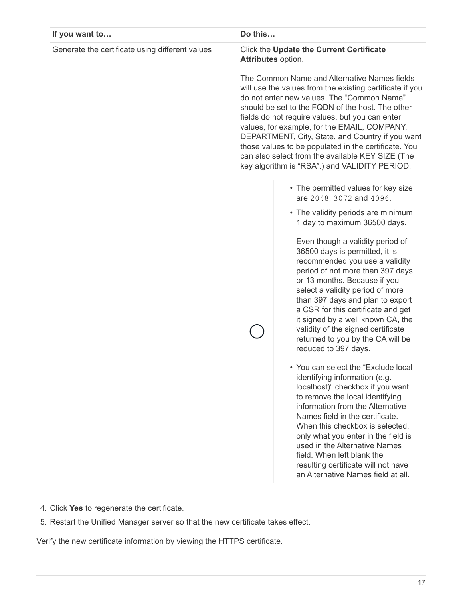| If you want to                                  | Do this |                                                                                                                                                                                                                                                                                                                                                                                                                                                                                                                                                                                                                                                                                                                                                                                                                                                                                                                                                                                                                   |
|-------------------------------------------------|---------|-------------------------------------------------------------------------------------------------------------------------------------------------------------------------------------------------------------------------------------------------------------------------------------------------------------------------------------------------------------------------------------------------------------------------------------------------------------------------------------------------------------------------------------------------------------------------------------------------------------------------------------------------------------------------------------------------------------------------------------------------------------------------------------------------------------------------------------------------------------------------------------------------------------------------------------------------------------------------------------------------------------------|
| Generate the certificate using different values |         | Click the Update the Current Certificate<br>Attributes option.<br>The Common Name and Alternative Names fields<br>will use the values from the existing certificate if you<br>do not enter new values. The "Common Name"<br>should be set to the FQDN of the host. The other<br>fields do not require values, but you can enter<br>values, for example, for the EMAIL, COMPANY,<br>DEPARTMENT, City, State, and Country if you want<br>those values to be populated in the certificate. You<br>can also select from the available KEY SIZE (The<br>key algorithm is "RSA".) and VALIDITY PERIOD.                                                                                                                                                                                                                                                                                                                                                                                                                  |
|                                                 |         | • The permitted values for key size<br>are 2048, 3072 and 4096.<br>• The validity periods are minimum<br>1 day to maximum 36500 days.<br>Even though a validity period of<br>36500 days is permitted, it is<br>recommended you use a validity<br>period of not more than 397 days<br>or 13 months. Because if you<br>select a validity period of more<br>than 397 days and plan to export<br>a CSR for this certificate and get<br>it signed by a well known CA, the<br>validity of the signed certificate<br>returned to you by the CA will be<br>reduced to 397 days.<br>You can select the "Exclude local<br>identifying information (e.g.<br>localhost)" checkbox if you want<br>to remove the local identifying<br>information from the Alternative<br>Names field in the certificate.<br>When this checkbox is selected,<br>only what you enter in the field is<br>used in the Alternative Names<br>field. When left blank the<br>resulting certificate will not have<br>an Alternative Names field at all. |

- 4. Click **Yes** to regenerate the certificate.
- 5. Restart the Unified Manager server so that the new certificate takes effect.

Verify the new certificate information by viewing the HTTPS certificate.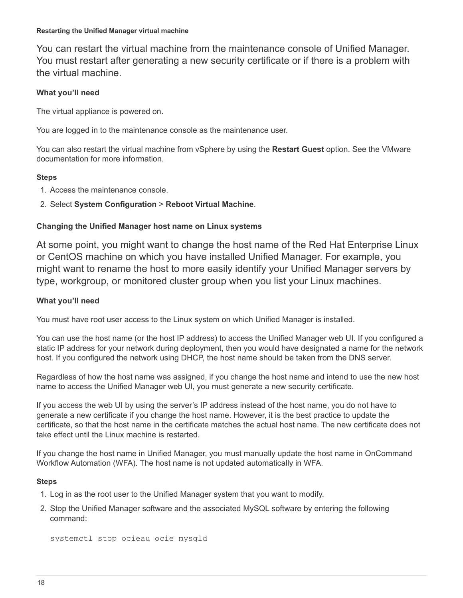#### <span id="page-19-0"></span>**Restarting the Unified Manager virtual machine**

You can restart the virtual machine from the maintenance console of Unified Manager. You must restart after generating a new security certificate or if there is a problem with the virtual machine.

## **What you'll need**

The virtual appliance is powered on.

You are logged in to the maintenance console as the maintenance user.

You can also restart the virtual machine from vSphere by using the **Restart Guest** option. See the VMware documentation for more information.

## **Steps**

- 1. Access the maintenance console.
- 2. Select **System Configuration** > **Reboot Virtual Machine**.

## **Changing the Unified Manager host name on Linux systems**

At some point, you might want to change the host name of the Red Hat Enterprise Linux or CentOS machine on which you have installed Unified Manager. For example, you might want to rename the host to more easily identify your Unified Manager servers by type, workgroup, or monitored cluster group when you list your Linux machines.

## **What you'll need**

You must have root user access to the Linux system on which Unified Manager is installed.

You can use the host name (or the host IP address) to access the Unified Manager web UI. If you configured a static IP address for your network during deployment, then you would have designated a name for the network host. If you configured the network using DHCP, the host name should be taken from the DNS server.

Regardless of how the host name was assigned, if you change the host name and intend to use the new host name to access the Unified Manager web UI, you must generate a new security certificate.

If you access the web UI by using the server's IP address instead of the host name, you do not have to generate a new certificate if you change the host name. However, it is the best practice to update the certificate, so that the host name in the certificate matches the actual host name. The new certificate does not take effect until the Linux machine is restarted.

If you change the host name in Unified Manager, you must manually update the host name in OnCommand Workflow Automation (WFA). The host name is not updated automatically in WFA.

- 1. Log in as the root user to the Unified Manager system that you want to modify.
- 2. Stop the Unified Manager software and the associated MySQL software by entering the following command:

```
systemctl stop ocieau ocie mysqld
```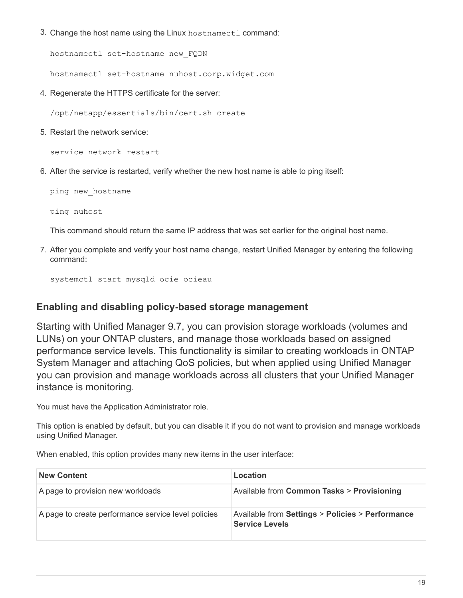3. Change the host name using the Linux hostnamectl command:

hostnamectl set-hostname new\_FQDN

hostnamectl set-hostname nuhost.corp.widget.com

4. Regenerate the HTTPS certificate for the server:

/opt/netapp/essentials/bin/cert.sh create

5. Restart the network service:

service network restart

6. After the service is restarted, verify whether the new host name is able to ping itself:

ping new\_hostname

ping nuhost

This command should return the same IP address that was set earlier for the original host name.

7. After you complete and verify your host name change, restart Unified Manager by entering the following command:

systemctl start mysqld ocie ocieau

## **Enabling and disabling policy-based storage management**

Starting with Unified Manager 9.7, you can provision storage workloads (volumes and LUNs) on your ONTAP clusters, and manage those workloads based on assigned performance service levels. This functionality is similar to creating workloads in ONTAP System Manager and attaching QoS policies, but when applied using Unified Manager you can provision and manage workloads across all clusters that your Unified Manager instance is monitoring.

You must have the Application Administrator role.

This option is enabled by default, but you can disable it if you do not want to provision and manage workloads using Unified Manager.

When enabled, this option provides many new items in the user interface:

| <b>New Content</b>                                  | Location                                                                  |
|-----------------------------------------------------|---------------------------------------------------------------------------|
| A page to provision new workloads                   | Available from Common Tasks > Provisioning                                |
| A page to create performance service level policies | Available from Settings > Policies > Performance<br><b>Service Levels</b> |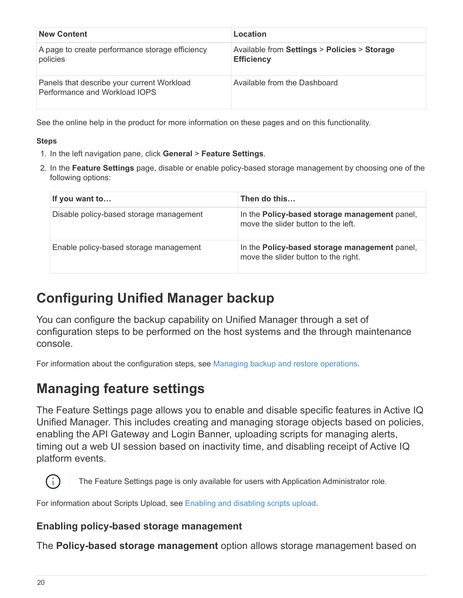| <b>New Content</b>                                                          | Location                                                          |
|-----------------------------------------------------------------------------|-------------------------------------------------------------------|
| A page to create performance storage efficiency<br>policies                 | Available from Settings > Policies > Storage<br><b>Efficiency</b> |
| Panels that describe your current Workload<br>Performance and Workload IOPS | Available from the Dashboard                                      |

See the online help in the product for more information on these pages and on this functionality.

## **Steps**

- 1. In the left navigation pane, click **General** > **Feature Settings**.
- 2. In the **Feature Settings** page, disable or enable policy-based storage management by choosing one of the following options:

| If you want to                          | Then do this                                                                          |
|-----------------------------------------|---------------------------------------------------------------------------------------|
| Disable policy-based storage management | In the Policy-based storage management panel,<br>move the slider button to the left.  |
| Enable policy-based storage management  | In the Policy-based storage management panel,<br>move the slider button to the right. |

# <span id="page-21-0"></span>**Configuring Unified Manager backup**

You can configure the backup capability on Unified Manager through a set of configuration steps to be performed on the host systems and the through maintenance console.

For information about the configuration steps, see [Managing backup and restore operations.](https://docs.netapp.com/us-en/active-iq-unified-manager-910/health-checker/concept_manage_backup_and_restore_operations.html)

# <span id="page-21-1"></span>**Managing feature settings**

The Feature Settings page allows you to enable and disable specific features in Active IQ Unified Manager. This includes creating and managing storage objects based on policies, enabling the API Gateway and Login Banner, uploading scripts for managing alerts, timing out a web UI session based on inactivity time, and disabling receipt of Active IQ platform events.



The Feature Settings page is only available for users with Application Administrator role.

For information about Scripts Upload, see [Enabling and disabling scripts upload](#page-24-0).

# **Enabling policy-based storage management**

The **Policy-based storage management** option allows storage management based on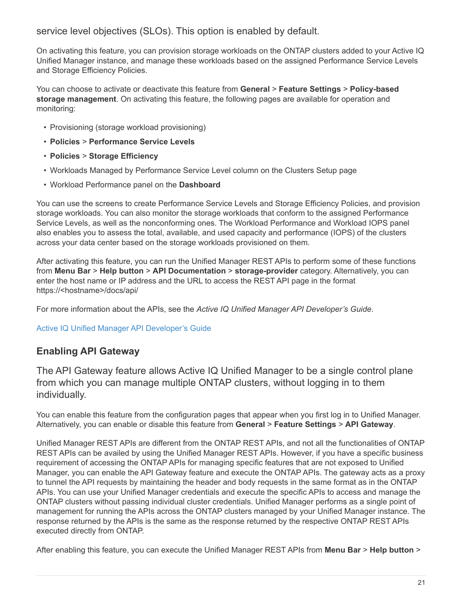service level objectives (SLOs). This option is enabled by default.

On activating this feature, you can provision storage workloads on the ONTAP clusters added to your Active IQ Unified Manager instance, and manage these workloads based on the assigned Performance Service Levels and Storage Efficiency Policies.

You can choose to activate or deactivate this feature from **General** > **Feature Settings** > **Policy-based storage management**. On activating this feature, the following pages are available for operation and monitoring:

- Provisioning (storage workload provisioning)
- **Policies** > **Performance Service Levels**
- **Policies** > **Storage Efficiency**
- Workloads Managed by Performance Service Level column on the Clusters Setup page
- Workload Performance panel on the **Dashboard**

You can use the screens to create Performance Service Levels and Storage Efficiency Policies, and provision storage workloads. You can also monitor the storage workloads that conform to the assigned Performance Service Levels, as well as the nonconforming ones. The Workload Performance and Workload IOPS panel also enables you to assess the total, available, and used capacity and performance (IOPS) of the clusters across your data center based on the storage workloads provisioned on them.

After activating this feature, you can run the Unified Manager REST APIs to perform some of these functions from **Menu Bar** > **Help button** > **API Documentation** > **storage-provider** category. Alternatively, you can enter the host name or IP address and the URL to access the REST API page in the format https://<hostname>/docs/api/

For more information about the APIs, see the *Active IQ Unified Manager API Developer's Guide*.

## [Active IQ Unified Manager API Developer's Guide](https://docs.netapp.com/us-en/active-iq-unified-manager-910/api-automation/concept_get_started_with_um_apis.html)

# **Enabling API Gateway**

The API Gateway feature allows Active IQ Unified Manager to be a single control plane from which you can manage multiple ONTAP clusters, without logging in to them individually.

You can enable this feature from the configuration pages that appear when you first log in to Unified Manager. Alternatively, you can enable or disable this feature from **General** > **Feature Settings** > **API Gateway**.

Unified Manager REST APIs are different from the ONTAP REST APIs, and not all the functionalities of ONTAP REST APIs can be availed by using the Unified Manager REST APIs. However, if you have a specific business requirement of accessing the ONTAP APIs for managing specific features that are not exposed to Unified Manager, you can enable the API Gateway feature and execute the ONTAP APIs. The gateway acts as a proxy to tunnel the API requests by maintaining the header and body requests in the same format as in the ONTAP APIs. You can use your Unified Manager credentials and execute the specific APIs to access and manage the ONTAP clusters without passing individual cluster credentials. Unified Manager performs as a single point of management for running the APIs across the ONTAP clusters managed by your Unified Manager instance. The response returned by the APIs is the same as the response returned by the respective ONTAP REST APIs executed directly from ONTAP.

After enabling this feature, you can execute the Unified Manager REST APIs from **Menu Bar** > **Help button** >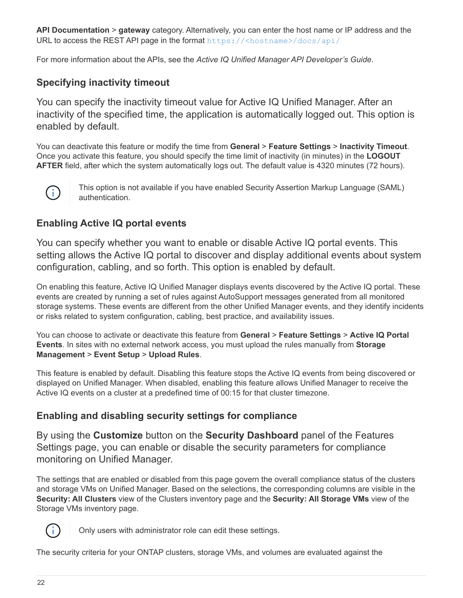**API Documentation** > **gateway** category. Alternatively, you can enter the host name or IP address and the URL to access the REST API page in the format <https://<hostname>/docs/api/>

For more information about the APIs, see the *Active IQ Unified Manager API Developer's Guide*.

# **Specifying inactivity timeout**

You can specify the inactivity timeout value for Active IQ Unified Manager. After an inactivity of the specified time, the application is automatically logged out. This option is enabled by default.

You can deactivate this feature or modify the time from **General** > **Feature Settings** > **Inactivity Timeout**. Once you activate this feature, you should specify the time limit of inactivity (in minutes) in the **LOGOUT AFTER** field, after which the system automatically logs out. The default value is 4320 minutes (72 hours).



This option is not available if you have enabled Security Assertion Markup Language (SAML) authentication.

# **Enabling Active IQ portal events**

You can specify whether you want to enable or disable Active IQ portal events. This setting allows the Active IQ portal to discover and display additional events about system configuration, cabling, and so forth. This option is enabled by default.

On enabling this feature, Active IQ Unified Manager displays events discovered by the Active IQ portal. These events are created by running a set of rules against AutoSupport messages generated from all monitored storage systems. These events are different from the other Unified Manager events, and they identify incidents or risks related to system configuration, cabling, best practice, and availability issues.

You can choose to activate or deactivate this feature from **General** > **Feature Settings** > **Active IQ Portal Events**. In sites with no external network access, you must upload the rules manually from **Storage Management** > **Event Setup** > **Upload Rules**.

This feature is enabled by default. Disabling this feature stops the Active IQ events from being discovered or displayed on Unified Manager. When disabled, enabling this feature allows Unified Manager to receive the Active IQ events on a cluster at a predefined time of 00:15 for that cluster timezone.

# **Enabling and disabling security settings for compliance**

By using the **Customize** button on the **Security Dashboard** panel of the Features Settings page, you can enable or disable the security parameters for compliance monitoring on Unified Manager.

The settings that are enabled or disabled from this page govern the overall compliance status of the clusters and storage VMs on Unified Manager. Based on the selections, the corresponding columns are visible in the **Security: All Clusters** view of the Clusters inventory page and the **Security: All Storage VMs** view of the Storage VMs inventory page.



Only users with administrator role can edit these settings.

The security criteria for your ONTAP clusters, storage VMs, and volumes are evaluated against the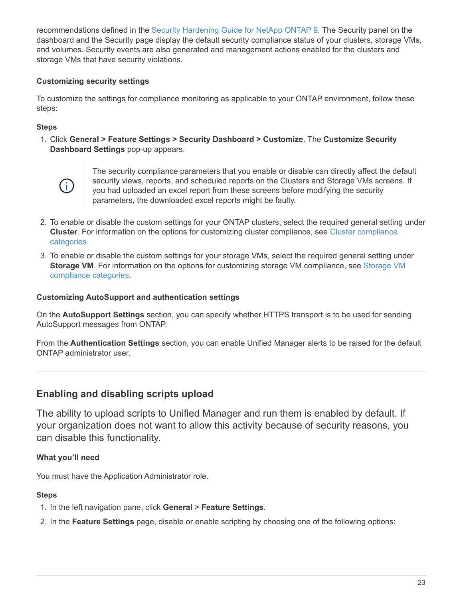recommendations defined in the [Security Hardening Guide for NetApp ONTAP 9.](https://www.netapp.com/pdf.html?item=/media/10674-tr4569pdf.pdf) The Security panel on the dashboard and the Security page display the default security compliance status of your clusters, storage VMs, and volumes. Security events are also generated and management actions enabled for the clusters and storage VMs that have security violations.

## **Customizing security settings**

To customize the settings for compliance monitoring as applicable to your ONTAP environment, follow these steps:

#### **Steps**

1. Click **General > Feature Settings > Security Dashboard > Customize**. The **Customize Security Dashboard Settings** pop-up appears.



The security compliance parameters that you enable or disable can directly affect the default security views, reports, and scheduled reports on the Clusters and Storage VMs screens. If you had uploaded an excel report from these screens before modifying the security parameters, the downloaded excel reports might be faulty.

- 2. To enable or disable the custom settings for your ONTAP clusters, select the required general setting under **Cluster**. For information on the options for customizing cluster compliance, see [Cluster compliance](https://docs.netapp.com/us-en/active-iq-unified-manager-910/health-checker/reference_cluster_compliance_categories.html) [categories](https://docs.netapp.com/us-en/active-iq-unified-manager-910/health-checker/reference_cluster_compliance_categories.html)
- 3. To enable or disable the custom settings for your storage VMs, select the required general setting under **Storage VM**. For information on the options for customizing storage VM compliance, see [Storage VM](https://docs.netapp.com/us-en/active-iq-unified-manager-910/health-checker/reference_svm_compliance_categories.html) [compliance categories.](https://docs.netapp.com/us-en/active-iq-unified-manager-910/health-checker/reference_svm_compliance_categories.html)

#### **Customizing AutoSupport and authentication settings**

On the **AutoSupport Settings** section, you can specify whether HTTPS transport is to be used for sending AutoSupport messages from ONTAP.

From the **Authentication Settings** section, you can enable Unified Manager alerts to be raised for the default ONTAP administrator user.

## <span id="page-24-0"></span>**Enabling and disabling scripts upload**

The ability to upload scripts to Unified Manager and run them is enabled by default. If your organization does not want to allow this activity because of security reasons, you can disable this functionality.

## **What you'll need**

You must have the Application Administrator role.

- 1. In the left navigation pane, click **General** > **Feature Settings**.
- 2. In the **Feature Settings** page, disable or enable scripting by choosing one of the following options: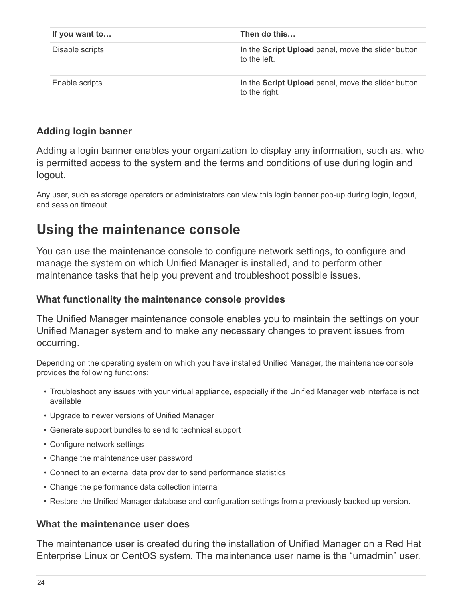| If you want to  | Then do this                                                        |
|-----------------|---------------------------------------------------------------------|
| Disable scripts | In the Script Upload panel, move the slider button<br>to the left.  |
| Enable scripts  | In the Script Upload panel, move the slider button<br>to the right. |

# **Adding login banner**

Adding a login banner enables your organization to display any information, such as, who is permitted access to the system and the terms and conditions of use during login and logout.

Any user, such as storage operators or administrators can view this login banner pop-up during login, logout, and session timeout.

# <span id="page-25-0"></span>**Using the maintenance console**

You can use the maintenance console to configure network settings, to configure and manage the system on which Unified Manager is installed, and to perform other maintenance tasks that help you prevent and troubleshoot possible issues.

# **What functionality the maintenance console provides**

The Unified Manager maintenance console enables you to maintain the settings on your Unified Manager system and to make any necessary changes to prevent issues from occurring.

Depending on the operating system on which you have installed Unified Manager, the maintenance console provides the following functions:

- Troubleshoot any issues with your virtual appliance, especially if the Unified Manager web interface is not available
- Upgrade to newer versions of Unified Manager
- Generate support bundles to send to technical support
- Configure network settings
- Change the maintenance user password
- Connect to an external data provider to send performance statistics
- Change the performance data collection internal
- Restore the Unified Manager database and configuration settings from a previously backed up version.

# **What the maintenance user does**

The maintenance user is created during the installation of Unified Manager on a Red Hat Enterprise Linux or CentOS system. The maintenance user name is the "umadmin" user.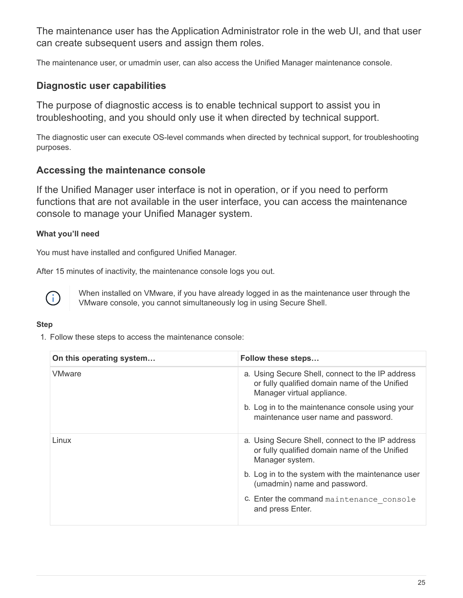The maintenance user has the Application Administrator role in the web UI, and that user can create subsequent users and assign them roles.

The maintenance user, or umadmin user, can also access the Unified Manager maintenance console.

# **Diagnostic user capabilities**

The purpose of diagnostic access is to enable technical support to assist you in troubleshooting, and you should only use it when directed by technical support.

The diagnostic user can execute OS-level commands when directed by technical support, for troubleshooting purposes.

## **Accessing the maintenance console**

If the Unified Manager user interface is not in operation, or if you need to perform functions that are not available in the user interface, you can access the maintenance console to manage your Unified Manager system.

## **What you'll need**

You must have installed and configured Unified Manager.

After 15 minutes of inactivity, the maintenance console logs you out.



When installed on VMware, if you have already logged in as the maintenance user through the VMware console, you cannot simultaneously log in using Secure Shell.

## **Step**

1. Follow these steps to access the maintenance console:

| On this operating system | Follow these steps                                                                                                              |
|--------------------------|---------------------------------------------------------------------------------------------------------------------------------|
| <b>VMware</b>            | a. Using Secure Shell, connect to the IP address<br>or fully qualified domain name of the Unified<br>Manager virtual appliance. |
|                          | b. Log in to the maintenance console using your<br>maintenance user name and password.                                          |
| Linux                    | a. Using Secure Shell, connect to the IP address<br>or fully qualified domain name of the Unified<br>Manager system.            |
|                          | b. Log in to the system with the maintenance user<br>(umadmin) name and password.                                               |
|                          | c. Enter the command maintenance console<br>and press Enter.                                                                    |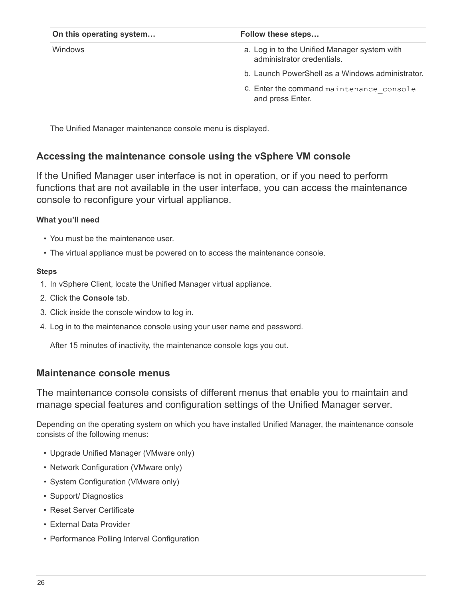| On this operating system | Follow these steps                                                         |
|--------------------------|----------------------------------------------------------------------------|
| <b>Windows</b>           | a. Log in to the Unified Manager system with<br>administrator credentials. |
|                          | b. Launch PowerShell as a Windows administrator.                           |
|                          | C. Enter the command maintenance console<br>and press Enter.               |

The Unified Manager maintenance console menu is displayed.

# **Accessing the maintenance console using the vSphere VM console**

If the Unified Manager user interface is not in operation, or if you need to perform functions that are not available in the user interface, you can access the maintenance console to reconfigure your virtual appliance.

## **What you'll need**

- You must be the maintenance user.
- The virtual appliance must be powered on to access the maintenance console.

## **Steps**

- 1. In vSphere Client, locate the Unified Manager virtual appliance.
- 2. Click the **Console** tab.
- 3. Click inside the console window to log in.
- 4. Log in to the maintenance console using your user name and password.

After 15 minutes of inactivity, the maintenance console logs you out.

# **Maintenance console menus**

The maintenance console consists of different menus that enable you to maintain and manage special features and configuration settings of the Unified Manager server.

Depending on the operating system on which you have installed Unified Manager, the maintenance console consists of the following menus:

- Upgrade Unified Manager (VMware only)
- Network Configuration (VMware only)
- System Configuration (VMware only)
- Support/ Diagnostics
- Reset Server Certificate
- External Data Provider
- Performance Polling Interval Configuration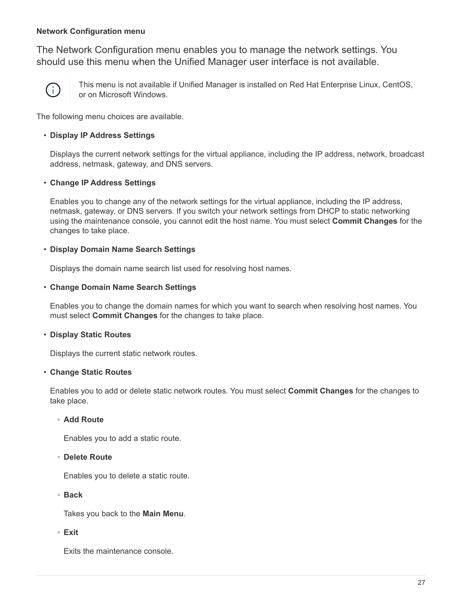## **Network Configuration menu**

The Network Configuration menu enables you to manage the network settings. You should use this menu when the Unified Manager user interface is not available.



This menu is not available if Unified Manager is installed on Red Hat Enterprise Linux, CentOS, or on Microsoft Windows.

The following menu choices are available.

## • **Display IP Address Settings**

Displays the current network settings for the virtual appliance, including the IP address, network, broadcast address, netmask, gateway, and DNS servers.

## • **Change IP Address Settings**

Enables you to change any of the network settings for the virtual appliance, including the IP address, netmask, gateway, or DNS servers. If you switch your network settings from DHCP to static networking using the maintenance console, you cannot edit the host name. You must select **Commit Changes** for the changes to take place.

## • **Display Domain Name Search Settings**

Displays the domain name search list used for resolving host names.

## • **Change Domain Name Search Settings**

Enables you to change the domain names for which you want to search when resolving host names. You must select **Commit Changes** for the changes to take place.

## • **Display Static Routes**

Displays the current static network routes.

## • **Change Static Routes**

Enables you to add or delete static network routes. You must select **Commit Changes** for the changes to take place.

## ◦ **Add Route**

Enables you to add a static route.

◦ **Delete Route**

Enables you to delete a static route.

◦ **Back**

Takes you back to the **Main Menu**.

◦ **Exit**

Exits the maintenance console.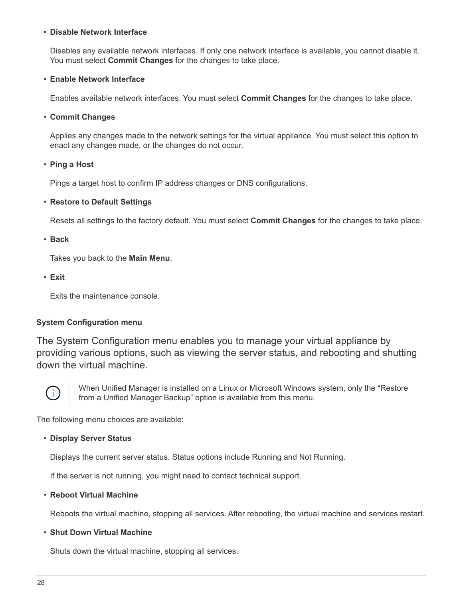#### • **Disable Network Interface**

Disables any available network interfaces. If only one network interface is available, you cannot disable it. You must select **Commit Changes** for the changes to take place.

#### • **Enable Network Interface**

Enables available network interfaces. You must select **Commit Changes** for the changes to take place.

#### • **Commit Changes**

Applies any changes made to the network settings for the virtual appliance. You must select this option to enact any changes made, or the changes do not occur.

• **Ping a Host**

Pings a target host to confirm IP address changes or DNS configurations.

#### • **Restore to Default Settings**

Resets all settings to the factory default. You must select **Commit Changes** for the changes to take place.

• **Back**

Takes you back to the **Main Menu**.

• **Exit**

Exits the maintenance console.

## **System Configuration menu**

The System Configuration menu enables you to manage your virtual appliance by providing various options, such as viewing the server status, and rebooting and shutting down the virtual machine.



When Unified Manager is installed on a Linux or Microsoft Windows system, only the "Restore from a Unified Manager Backup" option is available from this menu.

The following menu choices are available:

#### • **Display Server Status**

Displays the current server status. Status options include Running and Not Running.

If the server is not running, you might need to contact technical support.

#### • **Reboot Virtual Machine**

Reboots the virtual machine, stopping all services. After rebooting, the virtual machine and services restart.

#### • **Shut Down Virtual Machine**

Shuts down the virtual machine, stopping all services.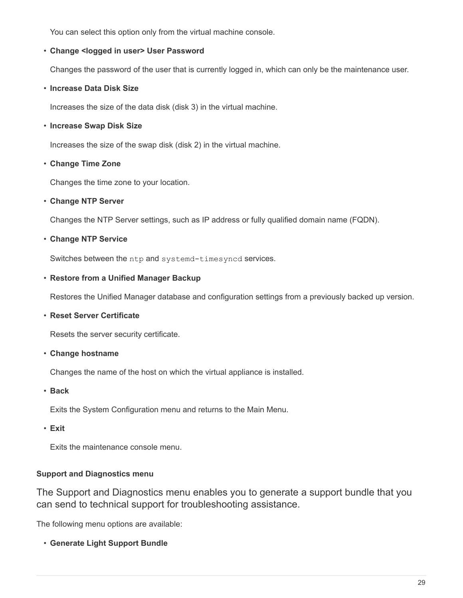You can select this option only from the virtual machine console.

## • **Change <logged in user> User Password**

Changes the password of the user that is currently logged in, which can only be the maintenance user.

## • **Increase Data Disk Size**

Increases the size of the data disk (disk 3) in the virtual machine.

## • **Increase Swap Disk Size**

Increases the size of the swap disk (disk 2) in the virtual machine.

## • **Change Time Zone**

Changes the time zone to your location.

## • **Change NTP Server**

Changes the NTP Server settings, such as IP address or fully qualified domain name (FQDN).

## • **Change NTP Service**

Switches between the ntp and systemd-timesyncd services.

## • **Restore from a Unified Manager Backup**

Restores the Unified Manager database and configuration settings from a previously backed up version.

## • **Reset Server Certificate**

Resets the server security certificate.

## • **Change hostname**

Changes the name of the host on which the virtual appliance is installed.

• **Back**

Exits the System Configuration menu and returns to the Main Menu.

• **Exit**

Exits the maintenance console menu.

## **Support and Diagnostics menu**

The Support and Diagnostics menu enables you to generate a support bundle that you can send to technical support for troubleshooting assistance.

The following menu options are available:

• **Generate Light Support Bundle**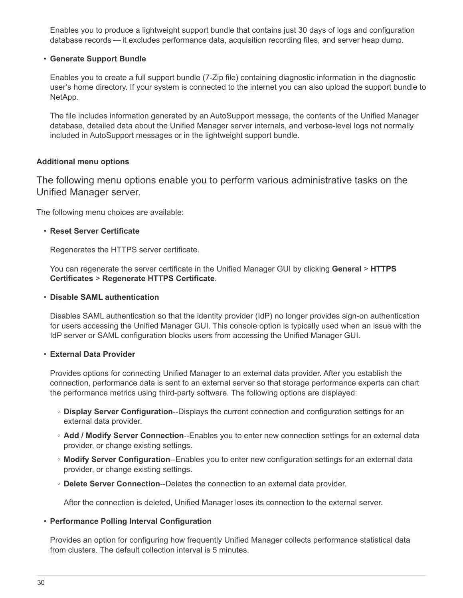Enables you to produce a lightweight support bundle that contains just 30 days of logs and configuration database records — it excludes performance data, acquisition recording files, and server heap dump.

#### • **Generate Support Bundle**

Enables you to create a full support bundle (7-Zip file) containing diagnostic information in the diagnostic user's home directory. If your system is connected to the internet you can also upload the support bundle to NetApp.

The file includes information generated by an AutoSupport message, the contents of the Unified Manager database, detailed data about the Unified Manager server internals, and verbose-level logs not normally included in AutoSupport messages or in the lightweight support bundle.

#### **Additional menu options**

The following menu options enable you to perform various administrative tasks on the Unified Manager server.

The following menu choices are available:

#### • **Reset Server Certificate**

Regenerates the HTTPS server certificate.

You can regenerate the server certificate in the Unified Manager GUI by clicking **General** > **HTTPS Certificates** > **Regenerate HTTPS Certificate**.

#### • **Disable SAML authentication**

Disables SAML authentication so that the identity provider (IdP) no longer provides sign-on authentication for users accessing the Unified Manager GUI. This console option is typically used when an issue with the IdP server or SAML configuration blocks users from accessing the Unified Manager GUI.

#### • **External Data Provider**

Provides options for connecting Unified Manager to an external data provider. After you establish the connection, performance data is sent to an external server so that storage performance experts can chart the performance metrics using third-party software. The following options are displayed:

- **Display Server Configuration**--Displays the current connection and configuration settings for an external data provider.
- **Add / Modify Server Connection**--Enables you to enter new connection settings for an external data provider, or change existing settings.
- **Modify Server Configuration**--Enables you to enter new configuration settings for an external data provider, or change existing settings.
- **Delete Server Connection**--Deletes the connection to an external data provider.

After the connection is deleted, Unified Manager loses its connection to the external server.

## • **Performance Polling Interval Configuration**

Provides an option for configuring how frequently Unified Manager collects performance statistical data from clusters. The default collection interval is 5 minutes.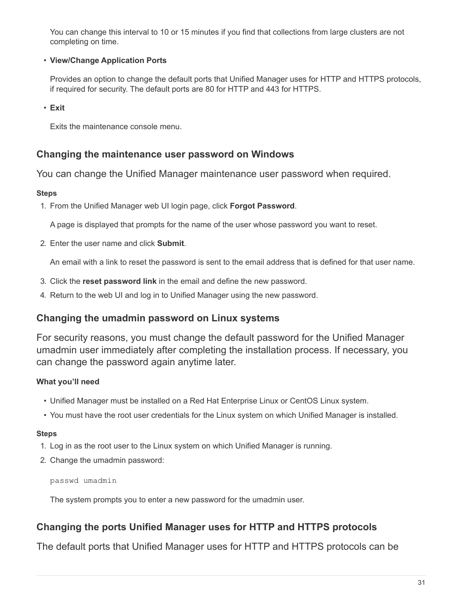You can change this interval to 10 or 15 minutes if you find that collections from large clusters are not completing on time.

## • **View/Change Application Ports**

Provides an option to change the default ports that Unified Manager uses for HTTP and HTTPS protocols, if required for security. The default ports are 80 for HTTP and 443 for HTTPS.

• **Exit**

Exits the maintenance console menu.

## **Changing the maintenance user password on Windows**

You can change the Unified Manager maintenance user password when required.

## **Steps**

1. From the Unified Manager web UI login page, click **Forgot Password**.

A page is displayed that prompts for the name of the user whose password you want to reset.

2. Enter the user name and click **Submit**.

An email with a link to reset the password is sent to the email address that is defined for that user name.

- 3. Click the **reset password link** in the email and define the new password.
- 4. Return to the web UI and log in to Unified Manager using the new password.

## **Changing the umadmin password on Linux systems**

For security reasons, you must change the default password for the Unified Manager umadmin user immediately after completing the installation process. If necessary, you can change the password again anytime later.

## **What you'll need**

- Unified Manager must be installed on a Red Hat Enterprise Linux or CentOS Linux system.
- You must have the root user credentials for the Linux system on which Unified Manager is installed.

## **Steps**

- 1. Log in as the root user to the Linux system on which Unified Manager is running.
- 2. Change the umadmin password:

passwd umadmin

The system prompts you to enter a new password for the umadmin user.

# **Changing the ports Unified Manager uses for HTTP and HTTPS protocols**

The default ports that Unified Manager uses for HTTP and HTTPS protocols can be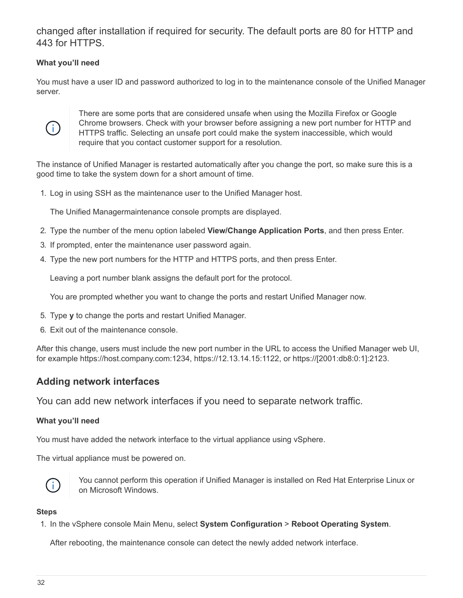changed after installation if required for security. The default ports are 80 for HTTP and 443 for HTTPS.

## **What you'll need**

You must have a user ID and password authorized to log in to the maintenance console of the Unified Manager server.



There are some ports that are considered unsafe when using the Mozilla Firefox or Google Chrome browsers. Check with your browser before assigning a new port number for HTTP and HTTPS traffic. Selecting an unsafe port could make the system inaccessible, which would require that you contact customer support for a resolution.

The instance of Unified Manager is restarted automatically after you change the port, so make sure this is a good time to take the system down for a short amount of time.

1. Log in using SSH as the maintenance user to the Unified Manager host.

The Unified Managermaintenance console prompts are displayed.

- 2. Type the number of the menu option labeled **View/Change Application Ports**, and then press Enter.
- 3. If prompted, enter the maintenance user password again.
- 4. Type the new port numbers for the HTTP and HTTPS ports, and then press Enter.

Leaving a port number blank assigns the default port for the protocol.

You are prompted whether you want to change the ports and restart Unified Manager now.

- 5. Type **y** to change the ports and restart Unified Manager.
- 6. Exit out of the maintenance console.

After this change, users must include the new port number in the URL to access the Unified Manager web UI, for example https://host.company.com:1234, https://12.13.14.15:1122, or https://[2001:db8:0:1]:2123.

## **Adding network interfaces**

You can add new network interfaces if you need to separate network traffic.

## **What you'll need**

You must have added the network interface to the virtual appliance using vSphere.

The virtual appliance must be powered on.



You cannot perform this operation if Unified Manager is installed on Red Hat Enterprise Linux or on Microsoft Windows.

#### **Steps**

1. In the vSphere console Main Menu, select **System Configuration** > **Reboot Operating System**.

After rebooting, the maintenance console can detect the newly added network interface.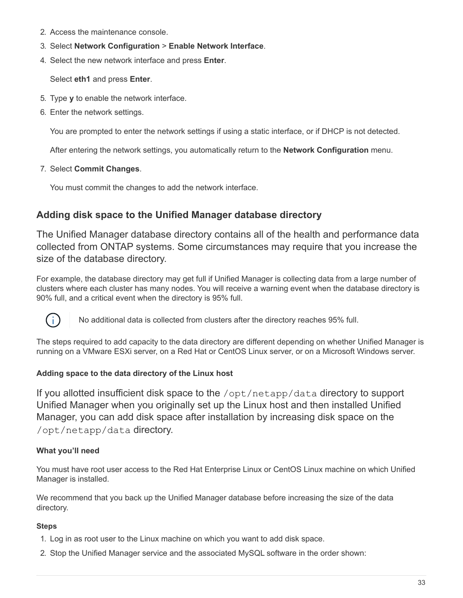- 2. Access the maintenance console.
- 3. Select **Network Configuration** > **Enable Network Interface**.
- 4. Select the new network interface and press **Enter**.

Select **eth1** and press **Enter**.

- 5. Type **y** to enable the network interface.
- 6. Enter the network settings.

You are prompted to enter the network settings if using a static interface, or if DHCP is not detected.

After entering the network settings, you automatically return to the **Network Configuration** menu.

7. Select **Commit Changes**.

You must commit the changes to add the network interface.

# **Adding disk space to the Unified Manager database directory**

The Unified Manager database directory contains all of the health and performance data collected from ONTAP systems. Some circumstances may require that you increase the size of the database directory.

For example, the database directory may get full if Unified Manager is collecting data from a large number of clusters where each cluster has many nodes. You will receive a warning event when the database directory is 90% full, and a critical event when the directory is 95% full.



No additional data is collected from clusters after the directory reaches 95% full.

The steps required to add capacity to the data directory are different depending on whether Unified Manager is running on a VMware ESXi server, on a Red Hat or CentOS Linux server, or on a Microsoft Windows server.

## **Adding space to the data directory of the Linux host**

If you allotted insufficient disk space to the /opt/netapp/data directory to support Unified Manager when you originally set up the Linux host and then installed Unified Manager, you can add disk space after installation by increasing disk space on the /opt/netapp/data directory.

## **What you'll need**

You must have root user access to the Red Hat Enterprise Linux or CentOS Linux machine on which Unified Manager is installed.

We recommend that you back up the Unified Manager database before increasing the size of the data directory.

- 1. Log in as root user to the Linux machine on which you want to add disk space.
- 2. Stop the Unified Manager service and the associated MySQL software in the order shown: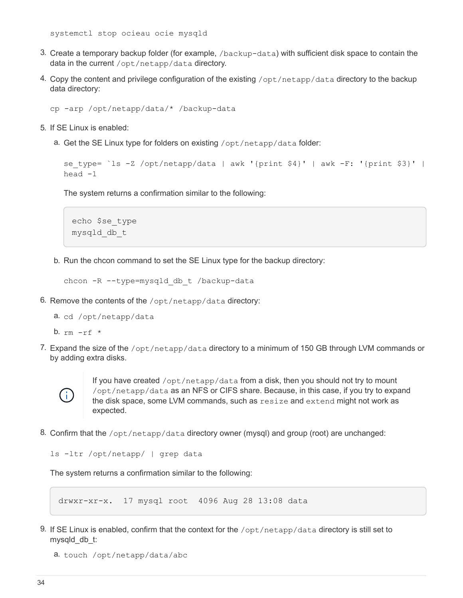systemctl stop ocieau ocie mysqld

- 3. Create a temporary backup folder (for example, /backup-data) with sufficient disk space to contain the data in the current /opt/netapp/data directory.
- 4. Copy the content and privilege configuration of the existing /opt/netapp/data directory to the backup data directory:

```
cp -arp /opt/netapp/data/* /backup-data
```
- 5. If SE Linux is enabled:
	- a. Get the SE Linux type for folders on existing /opt/netapp/data folder:

```
se type= `ls -Z /opt/netapp/data | awk '{print $4}' | awk -F: '{print $3}' |
head -1
```
The system returns a confirmation similar to the following:

```
echo $se_type
mysqld_db_t
```
b. Run the chcon command to set the SE Linux type for the backup directory:

```
chcon -R --type=mysqld db t /backup-data
```
6. Remove the contents of the  $\sqrt{\frac{opt}{netapp}}$  data directory:

a. cd /opt/netapp/data

b.  $rm -rf$  \*

7. Expand the size of the /opt/netapp/data directory to a minimum of 150 GB through LVM commands or by adding extra disks.



If you have created /opt/netapp/data from a disk, then you should not try to mount /opt/netapp/data as an NFS or CIFS share. Because, in this case, if you try to expand the disk space, some LVM commands, such as resize and extend might not work as expected.

8. Confirm that the /opt/netapp/data directory owner (mysql) and group (root) are unchanged:

```
ls -ltr /opt/netapp/ | grep data
```
The system returns a confirmation similar to the following:

```
drwxr-xr-x. 17 mysql root 4096 Aug 28 13:08 data
```
9. If SE Linux is enabled, confirm that the context for the /opt/netapp/data directory is still set to mysqld\_db\_t:

```
a. touch /opt/netapp/data/abc
```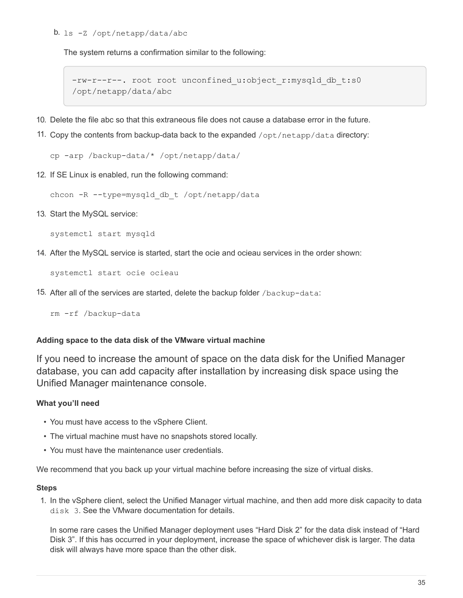#### b. ls -Z /opt/netapp/data/abc

The system returns a confirmation similar to the following:

```
-rw-r--r--. root root unconfined u:object r:mysqld db t:s0
/opt/netapp/data/abc
```
- 10. Delete the file abc so that this extraneous file does not cause a database error in the future.
- 11. Copy the contents from backup-data back to the expanded /opt/netapp/data directory:

cp -arp /backup-data/\* /opt/netapp/data/

12. If SE Linux is enabled, run the following command:

chcon -R --type=mysqld db t /opt/netapp/data

13. Start the MySQL service:

systemctl start mysqld

14. After the MySQL service is started, start the ocie and ocieau services in the order shown:

systemctl start ocie ocieau

15. After all of the services are started, delete the backup folder /backup-data:

rm -rf /backup-data

#### **Adding space to the data disk of the VMware virtual machine**

If you need to increase the amount of space on the data disk for the Unified Manager database, you can add capacity after installation by increasing disk space using the Unified Manager maintenance console.

#### **What you'll need**

- You must have access to the vSphere Client.
- The virtual machine must have no snapshots stored locally.
- You must have the maintenance user credentials.

We recommend that you back up your virtual machine before increasing the size of virtual disks.

#### **Steps**

1. In the vSphere client, select the Unified Manager virtual machine, and then add more disk capacity to data disk 3. See the VMware documentation for details.

In some rare cases the Unified Manager deployment uses "Hard Disk 2" for the data disk instead of "Hard Disk 3". If this has occurred in your deployment, increase the space of whichever disk is larger. The data disk will always have more space than the other disk.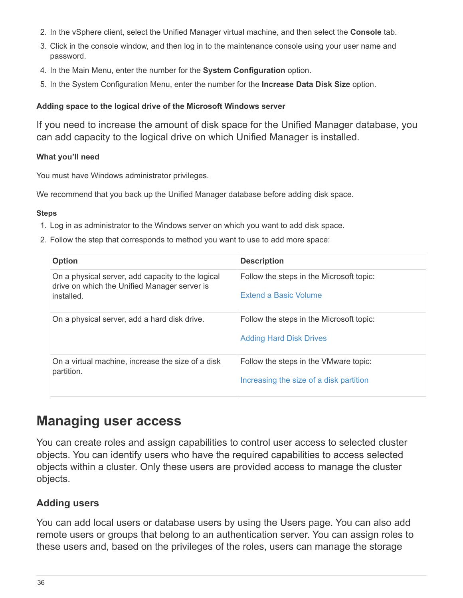- 2. In the vSphere client, select the Unified Manager virtual machine, and then select the **Console** tab.
- 3. Click in the console window, and then log in to the maintenance console using your user name and password.
- 4. In the Main Menu, enter the number for the **System Configuration** option.
- 5. In the System Configuration Menu, enter the number for the **Increase Data Disk Size** option.

## **Adding space to the logical drive of the Microsoft Windows server**

If you need to increase the amount of disk space for the Unified Manager database, you can add capacity to the logical drive on which Unified Manager is installed.

## **What you'll need**

You must have Windows administrator privileges.

We recommend that you back up the Unified Manager database before adding disk space.

#### **Steps**

- 1. Log in as administrator to the Windows server on which you want to add disk space.
- 2. Follow the step that corresponds to method you want to use to add more space:

| <b>Option</b>                                                                                                   | <b>Description</b>                                                               |
|-----------------------------------------------------------------------------------------------------------------|----------------------------------------------------------------------------------|
| On a physical server, add capacity to the logical<br>drive on which the Unified Manager server is<br>installed. | Follow the steps in the Microsoft topic:<br>Extend a Basic Volume                |
| On a physical server, add a hard disk drive.                                                                    | Follow the steps in the Microsoft topic:<br><b>Adding Hard Disk Drives</b>       |
| On a virtual machine, increase the size of a disk<br>partition.                                                 | Follow the steps in the VMware topic:<br>Increasing the size of a disk partition |

# <span id="page-37-0"></span>**Managing user access**

You can create roles and assign capabilities to control user access to selected cluster objects. You can identify users who have the required capabilities to access selected objects within a cluster. Only these users are provided access to manage the cluster objects.

## <span id="page-37-1"></span>**Adding users**

You can add local users or database users by using the Users page. You can also add remote users or groups that belong to an authentication server. You can assign roles to these users and, based on the privileges of the roles, users can manage the storage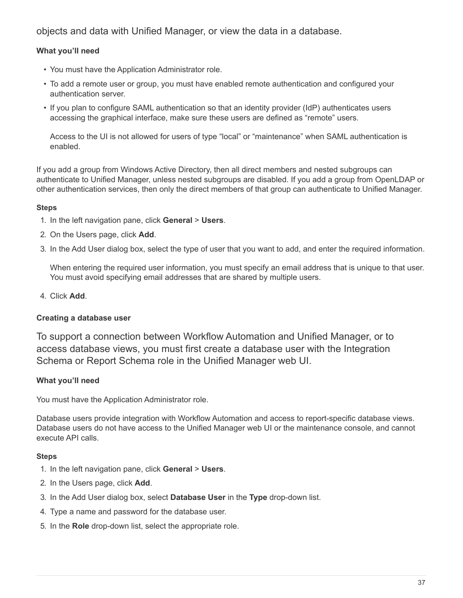objects and data with Unified Manager, or view the data in a database.

## **What you'll need**

- You must have the Application Administrator role.
- To add a remote user or group, you must have enabled remote authentication and configured your authentication server.
- If you plan to configure SAML authentication so that an identity provider (IdP) authenticates users accessing the graphical interface, make sure these users are defined as "remote" users.

Access to the UI is not allowed for users of type "local" or "maintenance" when SAML authentication is enabled.

If you add a group from Windows Active Directory, then all direct members and nested subgroups can authenticate to Unified Manager, unless nested subgroups are disabled. If you add a group from OpenLDAP or other authentication services, then only the direct members of that group can authenticate to Unified Manager.

## **Steps**

- 1. In the left navigation pane, click **General** > **Users**.
- 2. On the Users page, click **Add**.
- 3. In the Add User dialog box, select the type of user that you want to add, and enter the required information.

When entering the required user information, you must specify an email address that is unique to that user. You must avoid specifying email addresses that are shared by multiple users.

4. Click **Add**.

## **Creating a database user**

To support a connection between Workflow Automation and Unified Manager, or to access database views, you must first create a database user with the Integration Schema or Report Schema role in the Unified Manager web UI.

## **What you'll need**

You must have the Application Administrator role.

Database users provide integration with Workflow Automation and access to report-specific database views. Database users do not have access to the Unified Manager web UI or the maintenance console, and cannot execute API calls.

- 1. In the left navigation pane, click **General** > **Users**.
- 2. In the Users page, click **Add**.
- 3. In the Add User dialog box, select **Database User** in the **Type** drop-down list.
- 4. Type a name and password for the database user.
- 5. In the **Role** drop-down list, select the appropriate role.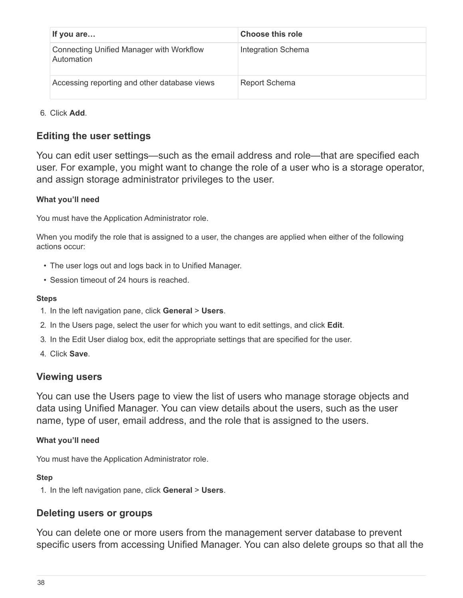| If you are                                                    | Choose this role          |
|---------------------------------------------------------------|---------------------------|
| <b>Connecting Unified Manager with Workflow</b><br>Automation | <b>Integration Schema</b> |
| Accessing reporting and other database views                  | <b>Report Schema</b>      |

6. Click **Add**.

# **Editing the user settings**

You can edit user settings—such as the email address and role—that are specified each user. For example, you might want to change the role of a user who is a storage operator, and assign storage administrator privileges to the user.

## **What you'll need**

You must have the Application Administrator role.

When you modify the role that is assigned to a user, the changes are applied when either of the following actions occur:

- The user logs out and logs back in to Unified Manager.
- Session timeout of 24 hours is reached.

## **Steps**

- 1. In the left navigation pane, click **General** > **Users**.
- 2. In the Users page, select the user for which you want to edit settings, and click **Edit**.
- 3. In the Edit User dialog box, edit the appropriate settings that are specified for the user.
- 4. Click **Save**.

## **Viewing users**

You can use the Users page to view the list of users who manage storage objects and data using Unified Manager. You can view details about the users, such as the user name, type of user, email address, and the role that is assigned to the users.

## **What you'll need**

You must have the Application Administrator role.

## **Step**

1. In the left navigation pane, click **General** > **Users**.

## **Deleting users or groups**

You can delete one or more users from the management server database to prevent specific users from accessing Unified Manager. You can also delete groups so that all the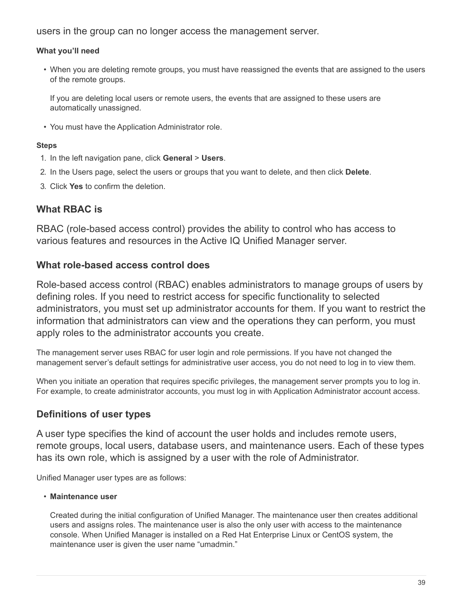users in the group can no longer access the management server.

## **What you'll need**

• When you are deleting remote groups, you must have reassigned the events that are assigned to the users of the remote groups.

If you are deleting local users or remote users, the events that are assigned to these users are automatically unassigned.

• You must have the Application Administrator role.

## **Steps**

- 1. In the left navigation pane, click **General** > **Users**.
- 2. In the Users page, select the users or groups that you want to delete, and then click **Delete**.
- 3. Click **Yes** to confirm the deletion.

# **What RBAC is**

RBAC (role-based access control) provides the ability to control who has access to various features and resources in the Active IQ Unified Manager server.

# **What role-based access control does**

Role-based access control (RBAC) enables administrators to manage groups of users by defining roles. If you need to restrict access for specific functionality to selected administrators, you must set up administrator accounts for them. If you want to restrict the information that administrators can view and the operations they can perform, you must apply roles to the administrator accounts you create.

The management server uses RBAC for user login and role permissions. If you have not changed the management server's default settings for administrative user access, you do not need to log in to view them.

When you initiate an operation that requires specific privileges, the management server prompts you to log in. For example, to create administrator accounts, you must log in with Application Administrator account access.

# **Definitions of user types**

A user type specifies the kind of account the user holds and includes remote users, remote groups, local users, database users, and maintenance users. Each of these types has its own role, which is assigned by a user with the role of Administrator.

Unified Manager user types are as follows:

## • **Maintenance user**

Created during the initial configuration of Unified Manager. The maintenance user then creates additional users and assigns roles. The maintenance user is also the only user with access to the maintenance console. When Unified Manager is installed on a Red Hat Enterprise Linux or CentOS system, the maintenance user is given the user name "umadmin."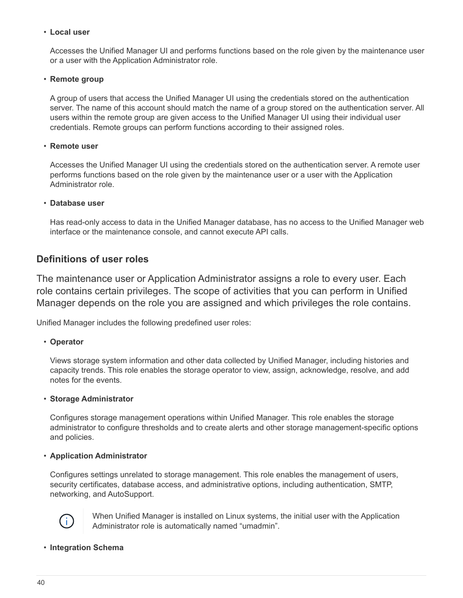#### • **Local user**

Accesses the Unified Manager UI and performs functions based on the role given by the maintenance user or a user with the Application Administrator role.

#### • **Remote group**

A group of users that access the Unified Manager UI using the credentials stored on the authentication server. The name of this account should match the name of a group stored on the authentication server. All users within the remote group are given access to the Unified Manager UI using their individual user credentials. Remote groups can perform functions according to their assigned roles.

#### • **Remote user**

Accesses the Unified Manager UI using the credentials stored on the authentication server. A remote user performs functions based on the role given by the maintenance user or a user with the Application Administrator role.

#### • **Database user**

Has read-only access to data in the Unified Manager database, has no access to the Unified Manager web interface or the maintenance console, and cannot execute API calls.

## **Definitions of user roles**

The maintenance user or Application Administrator assigns a role to every user. Each role contains certain privileges. The scope of activities that you can perform in Unified Manager depends on the role you are assigned and which privileges the role contains.

Unified Manager includes the following predefined user roles:

#### • **Operator**

Views storage system information and other data collected by Unified Manager, including histories and capacity trends. This role enables the storage operator to view, assign, acknowledge, resolve, and add notes for the events.

#### • **Storage Administrator**

Configures storage management operations within Unified Manager. This role enables the storage administrator to configure thresholds and to create alerts and other storage management-specific options and policies.

#### • **Application Administrator**

Configures settings unrelated to storage management. This role enables the management of users, security certificates, database access, and administrative options, including authentication, SMTP, networking, and AutoSupport.



When Unified Manager is installed on Linux systems, the initial user with the Application Administrator role is automatically named "umadmin".

#### • **Integration Schema**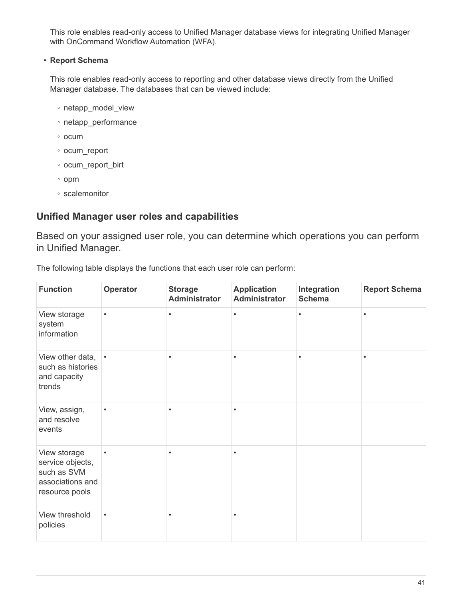This role enables read-only access to Unified Manager database views for integrating Unified Manager with OnCommand Workflow Automation (WFA).

## • **Report Schema**

This role enables read-only access to reporting and other database views directly from the Unified Manager database. The databases that can be viewed include:

- netapp\_model\_view
- netapp\_performance
- ocum
- ocum\_report
- ocum\_report\_birt
- opm
- scalemonitor

# **Unified Manager user roles and capabilities**

Based on your assigned user role, you can determine which operations you can perform in Unified Manager.

The following table displays the functions that each user role can perform:

| <b>Function</b>                                                                       | Operator  | <b>Storage</b><br><b>Administrator</b> | <b>Application</b><br><b>Administrator</b> | Integration<br><b>Schema</b> | <b>Report Schema</b> |
|---------------------------------------------------------------------------------------|-----------|----------------------------------------|--------------------------------------------|------------------------------|----------------------|
| View storage<br>system<br>information                                                 | $\bullet$ | $\bullet$                              | $\bullet$                                  | $\bullet$                    | $\bullet$            |
| View other data,<br>such as histories<br>and capacity<br>trends                       | $\bullet$ |                                        |                                            | $\bullet$                    | $\bullet$            |
| View, assign,<br>and resolve<br>events                                                | ٠         |                                        |                                            |                              |                      |
| View storage<br>service objects,<br>such as SVM<br>associations and<br>resource pools | $\bullet$ |                                        | ٠                                          |                              |                      |
| View threshold<br>policies                                                            | $\bullet$ | ٠                                      | ٠                                          |                              |                      |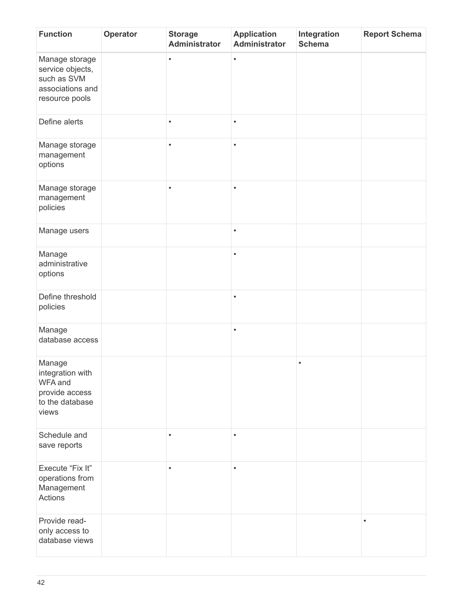| <b>Function</b>                                                                         | Operator | <b>Storage</b><br>Administrator | <b>Application</b><br><b>Administrator</b> | Integration<br><b>Schema</b> | <b>Report Schema</b> |
|-----------------------------------------------------------------------------------------|----------|---------------------------------|--------------------------------------------|------------------------------|----------------------|
| Manage storage<br>service objects,<br>such as SVM<br>associations and<br>resource pools |          | $\bullet$                       | $\bullet$                                  |                              |                      |
| Define alerts                                                                           |          | $\bullet$                       | ٠                                          |                              |                      |
| Manage storage<br>management<br>options                                                 |          | $\bullet$                       | $\bullet$                                  |                              |                      |
| Manage storage<br>management<br>policies                                                |          | $\bullet$                       | $\bullet$                                  |                              |                      |
| Manage users                                                                            |          |                                 | $\bullet$                                  |                              |                      |
| Manage<br>administrative<br>options                                                     |          |                                 | $\bullet$                                  |                              |                      |
| Define threshold<br>policies                                                            |          |                                 | $\bullet$                                  |                              |                      |
| Manage<br>database access                                                               |          |                                 | $\bullet$                                  |                              |                      |
| Manage<br>integration with<br>WFA and<br>provide access<br>to the database<br>views     |          |                                 |                                            | $\bullet$                    |                      |
| Schedule and<br>save reports                                                            |          |                                 |                                            |                              |                      |
| Execute "Fix It"<br>operations from<br>Management<br>Actions                            |          | $\bullet$                       | $\bullet$                                  |                              |                      |
| Provide read-<br>only access to<br>database views                                       |          |                                 |                                            |                              | $\bullet$            |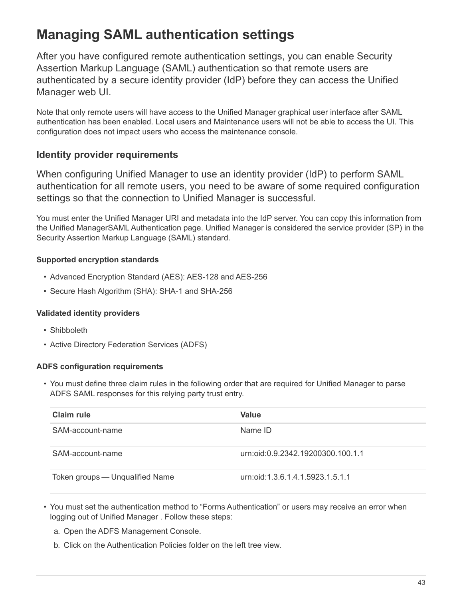# <span id="page-44-0"></span>**Managing SAML authentication settings**

After you have configured remote authentication settings, you can enable Security Assertion Markup Language (SAML) authentication so that remote users are authenticated by a secure identity provider (IdP) before they can access the Unified Manager web UI.

Note that only remote users will have access to the Unified Manager graphical user interface after SAML authentication has been enabled. Local users and Maintenance users will not be able to access the UI. This configuration does not impact users who access the maintenance console.

# **Identity provider requirements**

When configuring Unified Manager to use an identity provider (IdP) to perform SAML authentication for all remote users, you need to be aware of some required configuration settings so that the connection to Unified Manager is successful.

You must enter the Unified Manager URI and metadata into the IdP server. You can copy this information from the Unified ManagerSAML Authentication page. Unified Manager is considered the service provider (SP) in the Security Assertion Markup Language (SAML) standard.

## **Supported encryption standards**

- Advanced Encryption Standard (AES): AES-128 and AES-256
- Secure Hash Algorithm (SHA): SHA-1 and SHA-256

## **Validated identity providers**

- Shibboleth
- Active Directory Federation Services (ADFS)

## **ADFS configuration requirements**

• You must define three claim rules in the following order that are required for Unified Manager to parse ADFS SAML responses for this relying party trust entry.

| <b>Claim rule</b>               | <b>Value</b>                      |
|---------------------------------|-----------------------------------|
| SAM-account-name                | Name ID                           |
| SAM-account-name                | urn:oid:0.9.2342.19200300.100.1.1 |
| Token groups — Unqualified Name | urn:oid:1.3.6.1.4.1.5923.1.5.1.1  |

- You must set the authentication method to "Forms Authentication" or users may receive an error when logging out of Unified Manager . Follow these steps:
	- a. Open the ADFS Management Console.
	- b. Click on the Authentication Policies folder on the left tree view.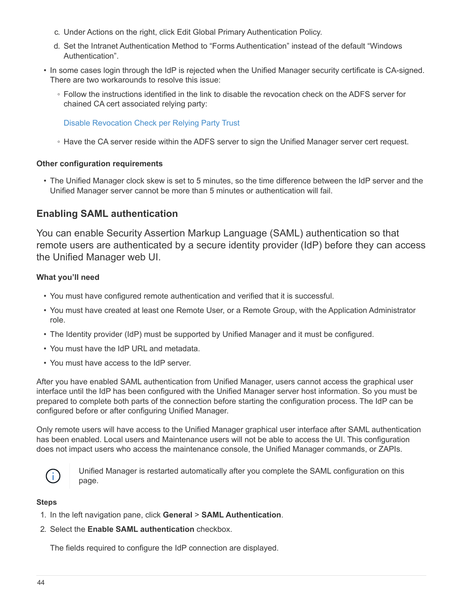- c. Under Actions on the right, click Edit Global Primary Authentication Policy.
- d. Set the Intranet Authentication Method to "Forms Authentication" instead of the default "Windows Authentication".
- In some cases login through the IdP is rejected when the Unified Manager security certificate is CA-signed. There are two workarounds to resolve this issue:
	- Follow the instructions identified in the link to disable the revocation check on the ADFS server for chained CA cert associated relying party:

[Disable Revocation Check per Relying Party Trust](http://www.torivar.com/2016/03/22/adfs-3-0-disable-revocation-check-windows-2012-r2/)

◦ Have the CA server reside within the ADFS server to sign the Unified Manager server cert request.

#### **Other configuration requirements**

• The Unified Manager clock skew is set to 5 minutes, so the time difference between the IdP server and the Unified Manager server cannot be more than 5 minutes or authentication will fail.

## **Enabling SAML authentication**

You can enable Security Assertion Markup Language (SAML) authentication so that remote users are authenticated by a secure identity provider (IdP) before they can access the Unified Manager web UI.

#### **What you'll need**

- You must have configured remote authentication and verified that it is successful.
- You must have created at least one Remote User, or a Remote Group, with the Application Administrator role.
- The Identity provider (IdP) must be supported by Unified Manager and it must be configured.
- You must have the IdP URL and metadata.
- You must have access to the IdP server.

After you have enabled SAML authentication from Unified Manager, users cannot access the graphical user interface until the IdP has been configured with the Unified Manager server host information. So you must be prepared to complete both parts of the connection before starting the configuration process. The IdP can be configured before or after configuring Unified Manager.

Only remote users will have access to the Unified Manager graphical user interface after SAML authentication has been enabled. Local users and Maintenance users will not be able to access the UI. This configuration does not impact users who access the maintenance console, the Unified Manager commands, or ZAPIs.



Unified Manager is restarted automatically after you complete the SAML configuration on this page.

#### **Steps**

- 1. In the left navigation pane, click **General** > **SAML Authentication**.
- 2. Select the **Enable SAML authentication** checkbox.

The fields required to configure the IdP connection are displayed.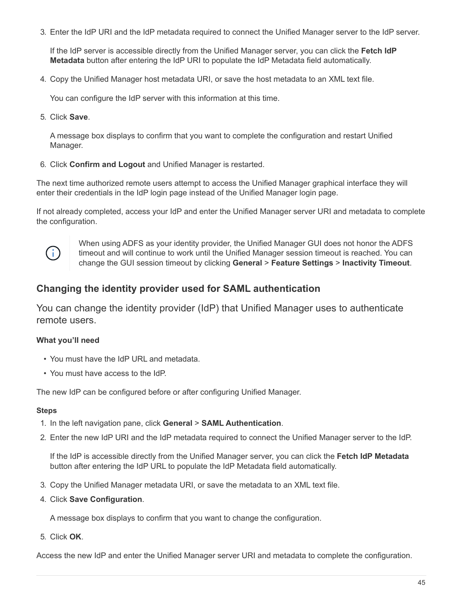3. Enter the IdP URI and the IdP metadata required to connect the Unified Manager server to the IdP server.

If the IdP server is accessible directly from the Unified Manager server, you can click the **Fetch IdP Metadata** button after entering the IdP URI to populate the IdP Metadata field automatically.

4. Copy the Unified Manager host metadata URI, or save the host metadata to an XML text file.

You can configure the IdP server with this information at this time.

5. Click **Save**.

A message box displays to confirm that you want to complete the configuration and restart Unified Manager.

6. Click **Confirm and Logout** and Unified Manager is restarted.

The next time authorized remote users attempt to access the Unified Manager graphical interface they will enter their credentials in the IdP login page instead of the Unified Manager login page.

If not already completed, access your IdP and enter the Unified Manager server URI and metadata to complete the configuration.



When using ADFS as your identity provider, the Unified Manager GUI does not honor the ADFS timeout and will continue to work until the Unified Manager session timeout is reached. You can change the GUI session timeout by clicking **General** > **Feature Settings** > **Inactivity Timeout**.

## **Changing the identity provider used for SAML authentication**

You can change the identity provider (IdP) that Unified Manager uses to authenticate remote users.

## **What you'll need**

- You must have the IdP URL and metadata.
- You must have access to the IdP.

The new IdP can be configured before or after configuring Unified Manager.

#### **Steps**

- 1. In the left navigation pane, click **General** > **SAML Authentication**.
- 2. Enter the new IdP URI and the IdP metadata required to connect the Unified Manager server to the IdP.

If the IdP is accessible directly from the Unified Manager server, you can click the **Fetch IdP Metadata** button after entering the IdP URL to populate the IdP Metadata field automatically.

- 3. Copy the Unified Manager metadata URI, or save the metadata to an XML text file.
- 4. Click **Save Configuration**.

A message box displays to confirm that you want to change the configuration.

5. Click **OK**.

Access the new IdP and enter the Unified Manager server URI and metadata to complete the configuration.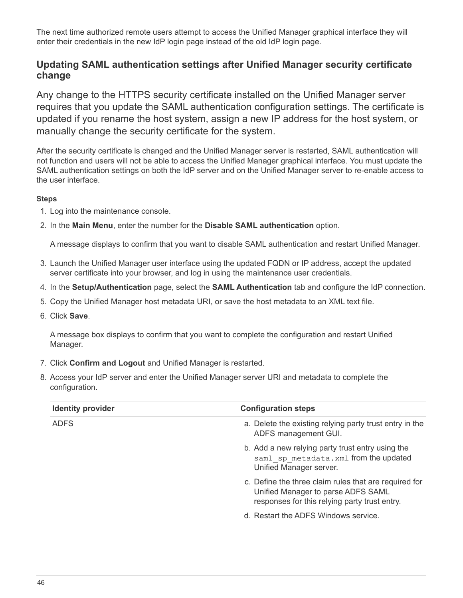The next time authorized remote users attempt to access the Unified Manager graphical interface they will enter their credentials in the new IdP login page instead of the old IdP login page.

# **Updating SAML authentication settings after Unified Manager security certificate change**

Any change to the HTTPS security certificate installed on the Unified Manager server requires that you update the SAML authentication configuration settings. The certificate is updated if you rename the host system, assign a new IP address for the host system, or manually change the security certificate for the system.

After the security certificate is changed and the Unified Manager server is restarted, SAML authentication will not function and users will not be able to access the Unified Manager graphical interface. You must update the SAML authentication settings on both the IdP server and on the Unified Manager server to re-enable access to the user interface.

## **Steps**

- 1. Log into the maintenance console.
- 2. In the **Main Menu**, enter the number for the **Disable SAML authentication** option.

A message displays to confirm that you want to disable SAML authentication and restart Unified Manager.

- 3. Launch the Unified Manager user interface using the updated FQDN or IP address, accept the updated server certificate into your browser, and log in using the maintenance user credentials.
- 4. In the **Setup/Authentication** page, select the **SAML Authentication** tab and configure the IdP connection.
- 5. Copy the Unified Manager host metadata URI, or save the host metadata to an XML text file.
- 6. Click **Save**.

A message box displays to confirm that you want to complete the configuration and restart Unified Manager.

- 7. Click **Confirm and Logout** and Unified Manager is restarted.
- 8. Access your IdP server and enter the Unified Manager server URI and metadata to complete the configuration.

| <b>Identity provider</b> | <b>Configuration steps</b>                                                                                                                   |
|--------------------------|----------------------------------------------------------------------------------------------------------------------------------------------|
| <b>ADFS</b>              | a. Delete the existing relying party trust entry in the<br>ADFS management GUI.                                                              |
|                          | b. Add a new relying party trust entry using the<br>saml sp metadata.xml from the updated<br>Unified Manager server.                         |
|                          | c. Define the three claim rules that are required for<br>Unified Manager to parse ADFS SAML<br>responses for this relying party trust entry. |
|                          | d. Restart the ADFS Windows service.                                                                                                         |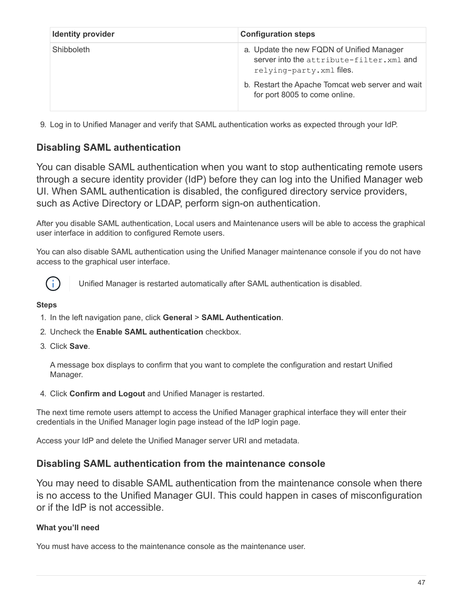| <b>Identity provider</b> | <b>Configuration steps</b>                                                                                                                                                                               |
|--------------------------|----------------------------------------------------------------------------------------------------------------------------------------------------------------------------------------------------------|
| Shibboleth               | a. Update the new FQDN of Unified Manager<br>server into the attribute-filter. xml and<br>relying-party. xml files.<br>b. Restart the Apache Tomcat web server and wait<br>for port 8005 to come online. |

9. Log in to Unified Manager and verify that SAML authentication works as expected through your IdP.

# **Disabling SAML authentication**

You can disable SAML authentication when you want to stop authenticating remote users through a secure identity provider (IdP) before they can log into the Unified Manager web UI. When SAML authentication is disabled, the configured directory service providers, such as Active Directory or LDAP, perform sign-on authentication.

After you disable SAML authentication, Local users and Maintenance users will be able to access the graphical user interface in addition to configured Remote users.

You can also disable SAML authentication using the Unified Manager maintenance console if you do not have access to the graphical user interface.



Unified Manager is restarted automatically after SAML authentication is disabled.

#### **Steps**

- 1. In the left navigation pane, click **General** > **SAML Authentication**.
- 2. Uncheck the **Enable SAML authentication** checkbox.
- 3. Click **Save**.

A message box displays to confirm that you want to complete the configuration and restart Unified Manager.

4. Click **Confirm and Logout** and Unified Manager is restarted.

The next time remote users attempt to access the Unified Manager graphical interface they will enter their credentials in the Unified Manager login page instead of the IdP login page.

Access your IdP and delete the Unified Manager server URI and metadata.

## **Disabling SAML authentication from the maintenance console**

You may need to disable SAML authentication from the maintenance console when there is no access to the Unified Manager GUI. This could happen in cases of misconfiguration or if the IdP is not accessible.

## **What you'll need**

You must have access to the maintenance console as the maintenance user.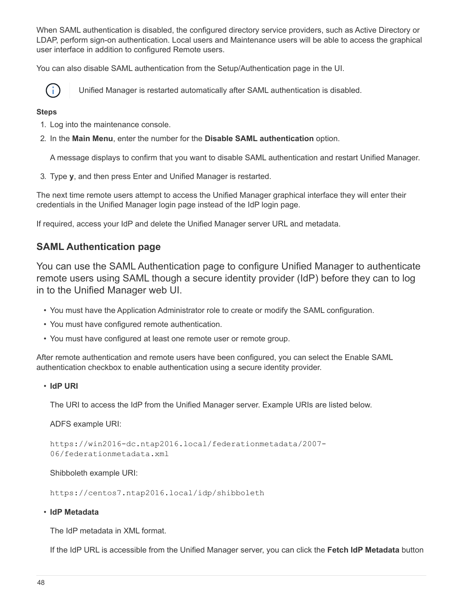When SAML authentication is disabled, the configured directory service providers, such as Active Directory or LDAP, perform sign-on authentication. Local users and Maintenance users will be able to access the graphical user interface in addition to configured Remote users.

You can also disable SAML authentication from the Setup/Authentication page in the UI.



Unified Manager is restarted automatically after SAML authentication is disabled.

## **Steps**

- 1. Log into the maintenance console.
- 2. In the **Main Menu**, enter the number for the **Disable SAML authentication** option.

A message displays to confirm that you want to disable SAML authentication and restart Unified Manager.

3. Type **y**, and then press Enter and Unified Manager is restarted.

The next time remote users attempt to access the Unified Manager graphical interface they will enter their credentials in the Unified Manager login page instead of the IdP login page.

If required, access your IdP and delete the Unified Manager server URL and metadata.

# **SAML Authentication page**

You can use the SAML Authentication page to configure Unified Manager to authenticate remote users using SAML though a secure identity provider (IdP) before they can to log in to the Unified Manager web UI.

- You must have the Application Administrator role to create or modify the SAML configuration.
- You must have configured remote authentication.
- You must have configured at least one remote user or remote group.

After remote authentication and remote users have been configured, you can select the Enable SAML authentication checkbox to enable authentication using a secure identity provider.

## • **IdP URI**

The URI to access the IdP from the Unified Manager server. Example URIs are listed below.

ADFS example URI:

https://win2016-dc.ntap2016.local/federationmetadata/2007- 06/federationmetadata.xml

Shibboleth example URI:

https://centos7.ntap2016.local/idp/shibboleth

#### • **IdP Metadata**

The IdP metadata in XML format.

If the IdP URL is accessible from the Unified Manager server, you can click the **Fetch IdP Metadata** button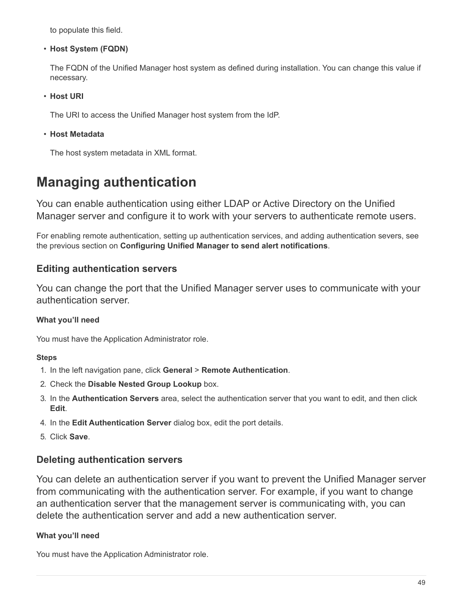to populate this field.

• **Host System (FQDN)**

The FQDN of the Unified Manager host system as defined during installation. You can change this value if necessary.

• **Host URI**

The URI to access the Unified Manager host system from the IdP.

• **Host Metadata**

The host system metadata in XML format.

# <span id="page-50-0"></span>**Managing authentication**

You can enable authentication using either LDAP or Active Directory on the Unified Manager server and configure it to work with your servers to authenticate remote users.

For enabling remote authentication, setting up authentication services, and adding authentication severs, see the previous section on **Configuring Unified Manager to send alert notifications**.

# **Editing authentication servers**

You can change the port that the Unified Manager server uses to communicate with your authentication server.

## **What you'll need**

You must have the Application Administrator role.

## **Steps**

- 1. In the left navigation pane, click **General** > **Remote Authentication**.
- 2. Check the **Disable Nested Group Lookup** box.
- 3. In the **Authentication Servers** area, select the authentication server that you want to edit, and then click **Edit**.
- 4. In the **Edit Authentication Server** dialog box, edit the port details.
- 5. Click **Save**.

# **Deleting authentication servers**

You can delete an authentication server if you want to prevent the Unified Manager server from communicating with the authentication server. For example, if you want to change an authentication server that the management server is communicating with, you can delete the authentication server and add a new authentication server.

## **What you'll need**

You must have the Application Administrator role.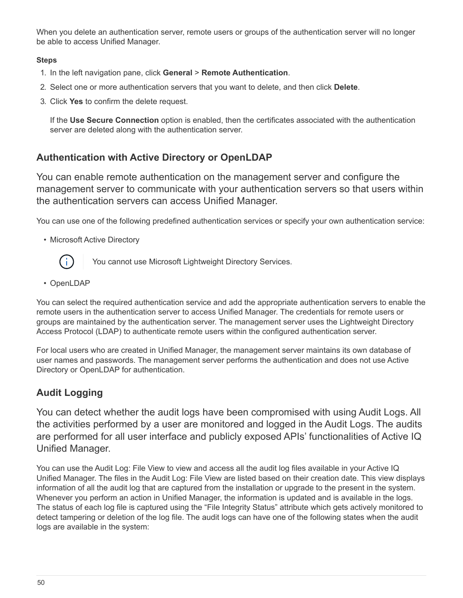When you delete an authentication server, remote users or groups of the authentication server will no longer be able to access Unified Manager.

## **Steps**

- 1. In the left navigation pane, click **General** > **Remote Authentication**.
- 2. Select one or more authentication servers that you want to delete, and then click **Delete**.
- 3. Click **Yes** to confirm the delete request.

If the **Use Secure Connection** option is enabled, then the certificates associated with the authentication server are deleted along with the authentication server.

# **Authentication with Active Directory or OpenLDAP**

You can enable remote authentication on the management server and configure the management server to communicate with your authentication servers so that users within the authentication servers can access Unified Manager.

You can use one of the following predefined authentication services or specify your own authentication service:

• Microsoft Active Directory



You cannot use Microsoft Lightweight Directory Services.

• OpenLDAP

You can select the required authentication service and add the appropriate authentication servers to enable the remote users in the authentication server to access Unified Manager. The credentials for remote users or groups are maintained by the authentication server. The management server uses the Lightweight Directory Access Protocol (LDAP) to authenticate remote users within the configured authentication server.

For local users who are created in Unified Manager, the management server maintains its own database of user names and passwords. The management server performs the authentication and does not use Active Directory or OpenLDAP for authentication.

# **Audit Logging**

You can detect whether the audit logs have been compromised with using Audit Logs. All the activities performed by a user are monitored and logged in the Audit Logs. The audits are performed for all user interface and publicly exposed APIs' functionalities of Active IQ Unified Manager.

You can use the Audit Log: File View to view and access all the audit log files available in your Active IQ Unified Manager. The files in the Audit Log: File View are listed based on their creation date. This view displays information of all the audit log that are captured from the installation or upgrade to the present in the system. Whenever you perform an action in Unified Manager, the information is updated and is available in the logs. The status of each log file is captured using the "File Integrity Status" attribute which gets actively monitored to detect tampering or deletion of the log file. The audit logs can have one of the following states when the audit logs are available in the system: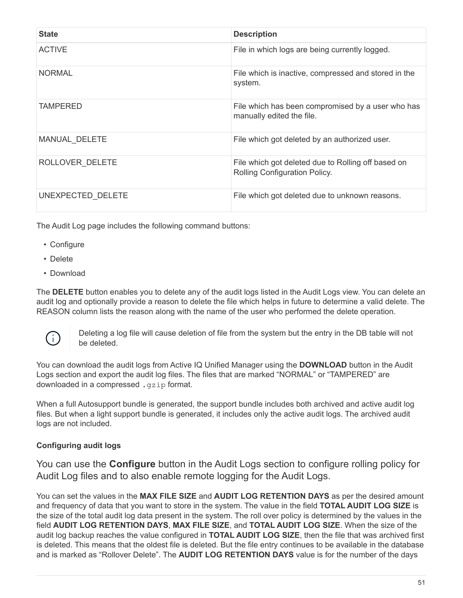| <b>State</b>      | <b>Description</b>                                                                  |
|-------------------|-------------------------------------------------------------------------------------|
| <b>ACTIVE</b>     | File in which logs are being currently logged.                                      |
| <b>NORMAL</b>     | File which is inactive, compressed and stored in the<br>system.                     |
| <b>TAMPERED</b>   | File which has been compromised by a user who has<br>manually edited the file.      |
| MANUAL DELETE     | File which got deleted by an authorized user.                                       |
| ROLLOVER DELETE   | File which got deleted due to Rolling off based on<br>Rolling Configuration Policy. |
| UNEXPECTED DELETE | File which got deleted due to unknown reasons.                                      |

The Audit Log page includes the following command buttons:

- Configure
- Delete
- Download

The **DELETE** button enables you to delete any of the audit logs listed in the Audit Logs view. You can delete an audit log and optionally provide a reason to delete the file which helps in future to determine a valid delete. The REASON column lists the reason along with the name of the user who performed the delete operation.



Deleting a log file will cause deletion of file from the system but the entry in the DB table will not be deleted.

You can download the audit logs from Active IQ Unified Manager using the **DOWNLOAD** button in the Audit Logs section and export the audit log files. The files that are marked "NORMAL" or "TAMPERED" are downloaded in a compressed .gzip format.

When a full Autosupport bundle is generated, the support bundle includes both archived and active audit log files. But when a light support bundle is generated, it includes only the active audit logs. The archived audit logs are not included.

## **Configuring audit logs**

You can use the **Configure** button in the Audit Logs section to configure rolling policy for Audit Log files and to also enable remote logging for the Audit Logs.

You can set the values in the **MAX FILE SIZE** and **AUDIT LOG RETENTION DAYS** as per the desired amount and frequency of data that you want to store in the system. The value in the field **TOTAL AUDIT LOG SIZE** is the size of the total audit log data present in the system. The roll over policy is determined by the values in the field **AUDIT LOG RETENTION DAYS**, **MAX FILE SIZE**, and **TOTAL AUDIT LOG SIZE**. When the size of the audit log backup reaches the value configured in **TOTAL AUDIT LOG SIZE**, then the file that was archived first is deleted. This means that the oldest file is deleted. But the file entry continues to be available in the database and is marked as "Rollover Delete". The **AUDIT LOG RETENTION DAYS** value is for the number of the days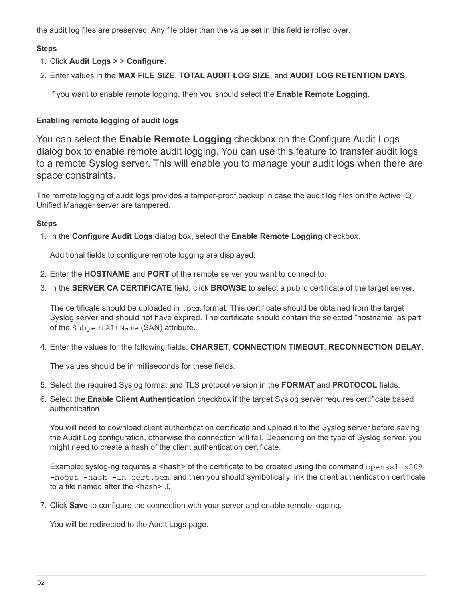the audit log files are preserved. Any file older than the value set in this field is rolled over.

## **Steps**

- 1. Click **Audit Logs** > > **Configure**.
- 2. Enter values in the **MAX FILE SIZE**, **TOTAL AUDIT LOG SIZE**, and **AUDIT LOG RETENTION DAYS**.

If you want to enable remote logging, then you should select the **Enable Remote Logging**.

## **Enabling remote logging of audit logs**

You can select the **Enable Remote Logging** checkbox on the Configure Audit Logs dialog box to enable remote audit logging. You can use this feature to transfer audit logs to a remote Syslog server. This will enable you to manage your audit logs when there are space constraints.

The remote logging of audit logs provides a tamper-proof backup in case the audit log files on the Active IQ Unified Manager server are tampered.

## **Steps**

1. In the **Configure Audit Logs** dialog box, select the **Enable Remote Logging** checkbox.

Additional fields to configure remote logging are displayed.

- 2. Enter the **HOSTNAME** and **PORT** of the remote server you want to connect to.
- 3. In the **SERVER CA CERTIFICATE** field, click **BROWSE** to select a public certificate of the target server.

The certificate should be uploaded in . pem format. This certificate should be obtained from the target Syslog server and should not have expired. The certificate should contain the selected "hostname" as part of the SubjectAltName (SAN) attribute.

4. Enter the values for the following fields: **CHARSET**, **CONNECTION TIMEOUT**, **RECONNECTION DELAY**.

The values should be in milliseconds for these fields.

- 5. Select the required Syslog format and TLS protocol version in the **FORMAT** and **PROTOCOL** fields.
- 6. Select the **Enable Client Authentication** checkbox if the target Syslog server requires certificate based authentication.

You will need to download client authentication certificate and upload it to the Syslog server before saving the Audit Log configuration, otherwise the connection will fail. Depending on the type of Syslog server, you might need to create a hash of the client authentication certificate.

Example: syslog-ng requires a  $\langle$ hash> of the certificate to be created using the command openssl  $x509$ -noout -hash -in cert.pem, and then you should symbolically link the client authentication certificate to a file named after the <hash> .0.

7. Click **Save** to configure the connection with your server and enable remote logging.

You will be redirected to the Audit Logs page.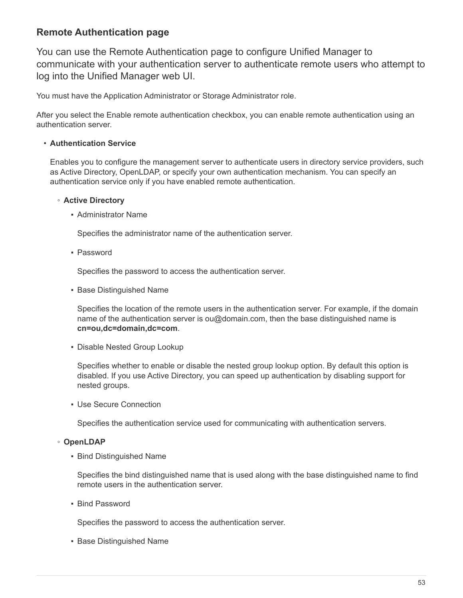# **Remote Authentication page**

You can use the Remote Authentication page to configure Unified Manager to communicate with your authentication server to authenticate remote users who attempt to log into the Unified Manager web UI.

You must have the Application Administrator or Storage Administrator role.

After you select the Enable remote authentication checkbox, you can enable remote authentication using an authentication server.

## • **Authentication Service**

Enables you to configure the management server to authenticate users in directory service providers, such as Active Directory, OpenLDAP, or specify your own authentication mechanism. You can specify an authentication service only if you have enabled remote authentication.

#### ◦ **Active Directory**

▪ Administrator Name

Specifies the administrator name of the authentication server.

▪ Password

Specifies the password to access the authentication server.

**• Base Distinguished Name** 

Specifies the location of the remote users in the authentication server. For example, if the domain name of the authentication server is ou@domain.com, then the base distinguished name is **cn=ou,dc=domain,dc=com**.

**• Disable Nested Group Lookup** 

Specifies whether to enable or disable the nested group lookup option. By default this option is disabled. If you use Active Directory, you can speed up authentication by disabling support for nested groups.

**• Use Secure Connection** 

Specifies the authentication service used for communicating with authentication servers.

## ◦ **OpenLDAP**

**• Bind Distinguished Name** 

Specifies the bind distinguished name that is used along with the base distinguished name to find remote users in the authentication server.

▪ Bind Password

Specifies the password to access the authentication server.

**• Base Distinguished Name**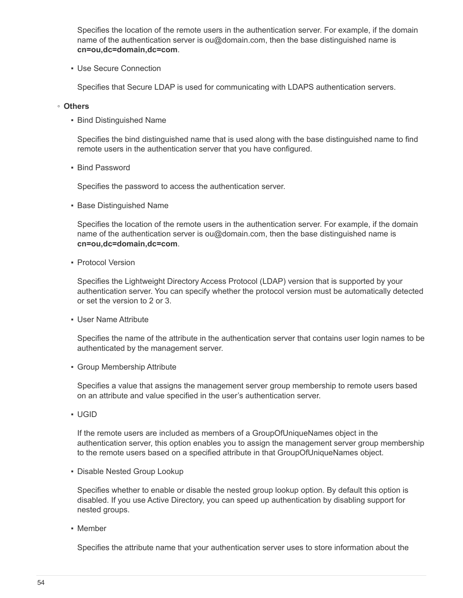Specifies the location of the remote users in the authentication server. For example, if the domain name of the authentication server is ou@domain.com, then the base distinguished name is **cn=ou,dc=domain,dc=com**.

**• Use Secure Connection** 

Specifies that Secure LDAP is used for communicating with LDAPS authentication servers.

#### ◦ **Others**

**• Bind Distinguished Name** 

Specifies the bind distinguished name that is used along with the base distinguished name to find remote users in the authentication server that you have configured.

▪ Bind Password

Specifies the password to access the authentication server.

**• Base Distinguished Name** 

Specifies the location of the remote users in the authentication server. For example, if the domain name of the authentication server is ou@domain.com, then the base distinguished name is **cn=ou,dc=domain,dc=com**.

• Protocol Version

Specifies the Lightweight Directory Access Protocol (LDAP) version that is supported by your authentication server. You can specify whether the protocol version must be automatically detected or set the version to 2 or 3.

▪ User Name Attribute

Specifies the name of the attribute in the authentication server that contains user login names to be authenticated by the management server.

▪ Group Membership Attribute

Specifies a value that assigns the management server group membership to remote users based on an attribute and value specified in the user's authentication server.

▪ UGID

If the remote users are included as members of a GroupOfUniqueNames object in the authentication server, this option enables you to assign the management server group membership to the remote users based on a specified attribute in that GroupOfUniqueNames object.

**• Disable Nested Group Lookup** 

Specifies whether to enable or disable the nested group lookup option. By default this option is disabled. If you use Active Directory, you can speed up authentication by disabling support for nested groups.

▪ Member

Specifies the attribute name that your authentication server uses to store information about the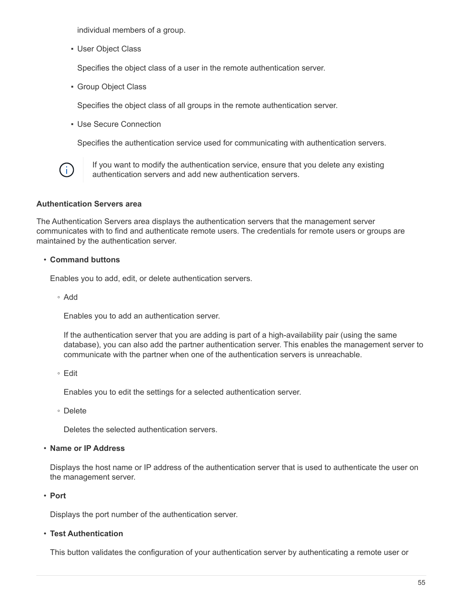individual members of a group.

▪ User Object Class

Specifies the object class of a user in the remote authentication server.

▪ Group Object Class

Specifies the object class of all groups in the remote authentication server.

▪ Use Secure Connection

Specifies the authentication service used for communicating with authentication servers.



If you want to modify the authentication service, ensure that you delete any existing authentication servers and add new authentication servers.

#### **Authentication Servers area**

The Authentication Servers area displays the authentication servers that the management server communicates with to find and authenticate remote users. The credentials for remote users or groups are maintained by the authentication server.

#### • **Command buttons**

Enables you to add, edit, or delete authentication servers.

◦ Add

Enables you to add an authentication server.

If the authentication server that you are adding is part of a high-availability pair (using the same database), you can also add the partner authentication server. This enables the management server to communicate with the partner when one of the authentication servers is unreachable.

◦ Edit

Enables you to edit the settings for a selected authentication server.

◦ Delete

Deletes the selected authentication servers.

#### • **Name or IP Address**

Displays the host name or IP address of the authentication server that is used to authenticate the user on the management server.

• **Port**

Displays the port number of the authentication server.

#### • **Test Authentication**

This button validates the configuration of your authentication server by authenticating a remote user or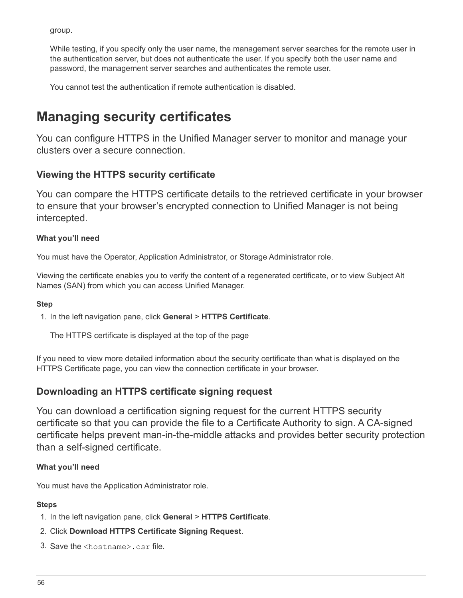group.

While testing, if you specify only the user name, the management server searches for the remote user in the authentication server, but does not authenticate the user. If you specify both the user name and password, the management server searches and authenticates the remote user.

You cannot test the authentication if remote authentication is disabled.

# <span id="page-57-0"></span>**Managing security certificates**

You can configure HTTPS in the Unified Manager server to monitor and manage your clusters over a secure connection.

# **Viewing the HTTPS security certificate**

You can compare the HTTPS certificate details to the retrieved certificate in your browser to ensure that your browser's encrypted connection to Unified Manager is not being intercepted.

## **What you'll need**

You must have the Operator, Application Administrator, or Storage Administrator role.

Viewing the certificate enables you to verify the content of a regenerated certificate, or to view Subject Alt Names (SAN) from which you can access Unified Manager.

## **Step**

1. In the left navigation pane, click **General** > **HTTPS Certificate**.

The HTTPS certificate is displayed at the top of the page

If you need to view more detailed information about the security certificate than what is displayed on the HTTPS Certificate page, you can view the connection certificate in your browser.

# **Downloading an HTTPS certificate signing request**

You can download a certification signing request for the current HTTPS security certificate so that you can provide the file to a Certificate Authority to sign. A CA-signed certificate helps prevent man-in-the-middle attacks and provides better security protection than a self-signed certificate.

## **What you'll need**

You must have the Application Administrator role.

- 1. In the left navigation pane, click **General** > **HTTPS Certificate**.
- 2. Click **Download HTTPS Certificate Signing Request**.
- 3. Save the <hostname>.csr file.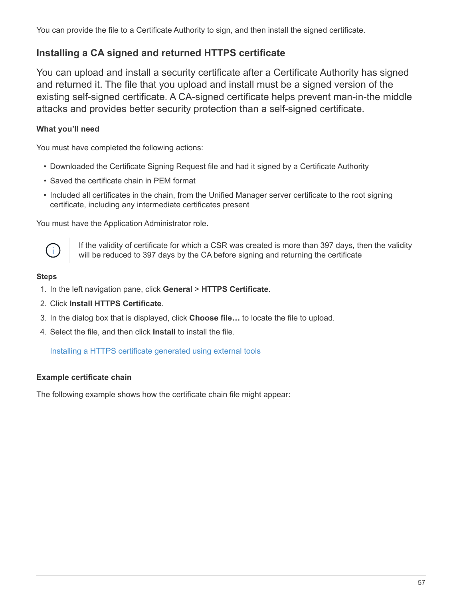You can provide the file to a Certificate Authority to sign, and then install the signed certificate.

# **Installing a CA signed and returned HTTPS certificate**

You can upload and install a security certificate after a Certificate Authority has signed and returned it. The file that you upload and install must be a signed version of the existing self-signed certificate. A CA-signed certificate helps prevent man-in-the middle attacks and provides better security protection than a self-signed certificate.

## **What you'll need**

You must have completed the following actions:

- Downloaded the Certificate Signing Request file and had it signed by a Certificate Authority
- Saved the certificate chain in PEM format
- Included all certificates in the chain, from the Unified Manager server certificate to the root signing certificate, including any intermediate certificates present

You must have the Application Administrator role.



If the validity of certificate for which a CSR was created is more than 397 days, then the validity will be reduced to 397 days by the CA before signing and returning the certificate

#### **Steps**

- 1. In the left navigation pane, click **General** > **HTTPS Certificate**.
- 2. Click **Install HTTPS Certificate**.
- 3. In the dialog box that is displayed, click **Choose file…** to locate the file to upload.
- 4. Select the file, and then click **Install** to install the file.

[Installing a HTTPS certificate generated using external tools](#page-59-0)

## **Example certificate chain**

The following example shows how the certificate chain file might appear: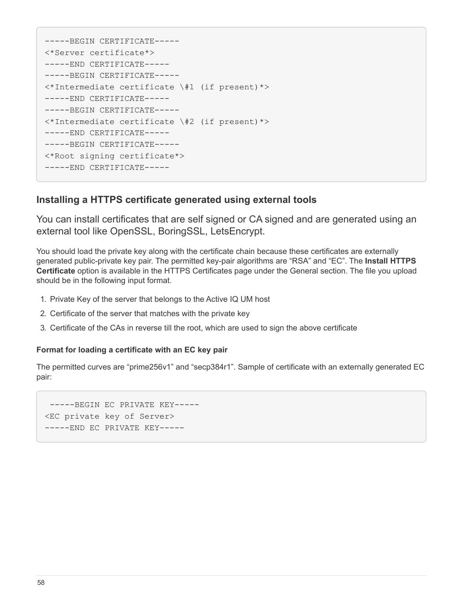```
-----BEGIN CERTIFICATE-----
<*Server certificate*>
-----END CERTIFICATE-----
-----BEGIN CERTIFICATE-----
<*Intermediate certificate \#1 (if present)*>
-----END CERTIFICATE-----
-----BEGIN CERTIFICATE-----
<*Intermediate certificate \#2 (if present)*>
-----END CERTIFICATE-----
-----BEGIN CERTIFICATE-----
<*Root signing certificate*>
-----END CERTIFICATE-----
```
## <span id="page-59-0"></span>**Installing a HTTPS certificate generated using external tools**

You can install certificates that are self signed or CA signed and are generated using an external tool like OpenSSL, BoringSSL, LetsEncrypt.

You should load the private key along with the certificate chain because these certificates are externally generated public-private key pair. The permitted key-pair algorithms are "RSA" and "EC". The **Install HTTPS Certificate** option is available in the HTTPS Certificates page under the General section. The file you upload should be in the following input format.

- 1. Private Key of the server that belongs to the Active IQ UM host
- 2. Certificate of the server that matches with the private key
- 3. Certificate of the CAs in reverse till the root, which are used to sign the above certificate

#### **Format for loading a certificate with an EC key pair**

The permitted curves are "prime256v1" and "secp384r1". Sample of certificate with an externally generated EC pair:

 -----BEGIN EC PRIVATE KEY----- <EC private key of Server> -----END EC PRIVATE KEY-----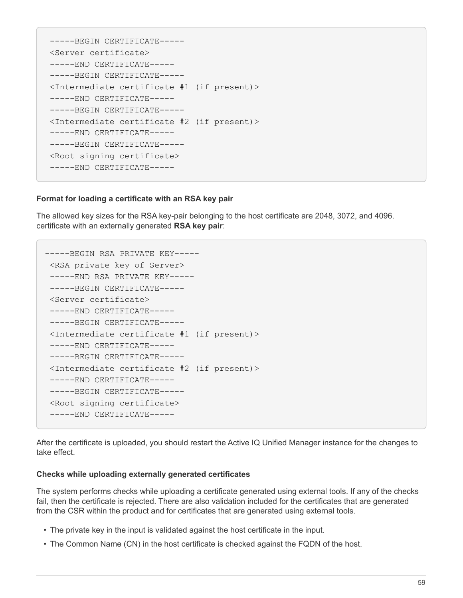```
 -----BEGIN CERTIFICATE-----
 <Server certificate>
 -----END CERTIFICATE-----
 -----BEGIN CERTIFICATE-----
 <Intermediate certificate #1 (if present)>
 -----END CERTIFICATE-----
 -----BEGIN CERTIFICATE-----
 <Intermediate certificate #2 (if present)>
 -----END CERTIFICATE-----
 -----BEGIN CERTIFICATE-----
 <Root signing certificate>
 -----END CERTIFICATE-----
```
#### **Format for loading a certificate with an RSA key pair**

The allowed key sizes for the RSA key-pair belonging to the host certificate are 2048, 3072, and 4096. certificate with an externally generated **RSA key pair**:

```
-----BEGIN RSA PRIVATE KEY-----
 <RSA private key of Server>
 -----END RSA PRIVATE KEY-----
 -----BEGIN CERTIFICATE-----
 <Server certificate>
  -----END CERTIFICATE-----
 -----BEGIN CERTIFICATE-----
 <Intermediate certificate #1 (if present)>
 -----END CERTIFICATE-----
 -----BEGIN CERTIFICATE-----
 <Intermediate certificate #2 (if present)>
 -----END CERTIFICATE-----
 -----BEGIN CERTIFICATE-----
 <Root signing certificate>
  -----END CERTIFICATE-----
```
After the certificate is uploaded, you should restart the Active IQ Unified Manager instance for the changes to take effect.

#### **Checks while uploading externally generated certificates**

The system performs checks while uploading a certificate generated using external tools. If any of the checks fail, then the certificate is rejected. There are also validation included for the certificates that are generated from the CSR within the product and for certificates that are generated using external tools.

- The private key in the input is validated against the host certificate in the input.
- The Common Name (CN) in the host certificate is checked against the FQDN of the host.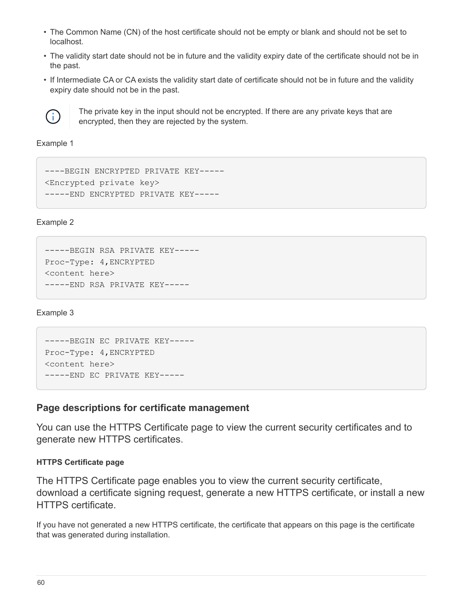- The Common Name (CN) of the host certificate should not be empty or blank and should not be set to localhost.
- The validity start date should not be in future and the validity expiry date of the certificate should not be in the past.
- If Intermediate CA or CA exists the validity start date of certificate should not be in future and the validity expiry date should not be in the past.



The private key in the input should not be encrypted. If there are any private keys that are encrypted, then they are rejected by the system.

Example 1

```
----BEGIN ENCRYPTED PRIVATE KEY-----
<Encrypted private key>
-----END ENCRYPTED PRIVATE KEY-----
```
Example 2

```
-----BEGIN RSA PRIVATE KEY-----
Proc-Type: 4,ENCRYPTED
<content here>
-----END RSA PRIVATE KEY-----
```
Example 3

```
-----BEGIN EC PRIVATE KEY-----
Proc-Type: 4,ENCRYPTED
<content here>
-----END EC PRIVATE KEY-----
```
## **Page descriptions for certificate management**

You can use the HTTPS Certificate page to view the current security certificates and to generate new HTTPS certificates.

#### **HTTPS Certificate page**

The HTTPS Certificate page enables you to view the current security certificate, download a certificate signing request, generate a new HTTPS certificate, or install a new HTTPS certificate.

If you have not generated a new HTTPS certificate, the certificate that appears on this page is the certificate that was generated during installation.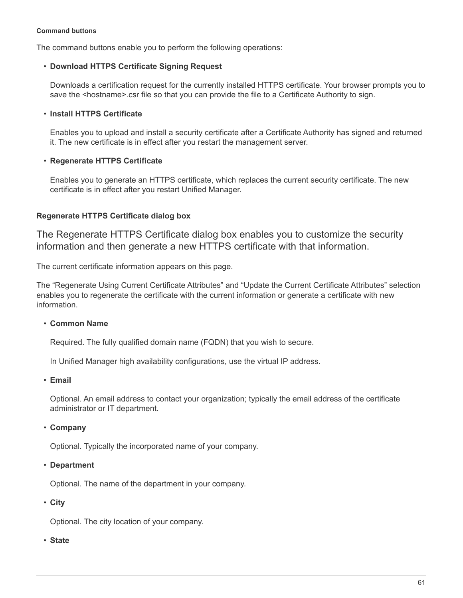#### **Command buttons**

The command buttons enable you to perform the following operations:

#### • **Download HTTPS Certificate Signing Request**

Downloads a certification request for the currently installed HTTPS certificate. Your browser prompts you to save the <hostname>.csr file so that you can provide the file to a Certificate Authority to sign.

#### • **Install HTTPS Certificate**

Enables you to upload and install a security certificate after a Certificate Authority has signed and returned it. The new certificate is in effect after you restart the management server.

#### • **Regenerate HTTPS Certificate**

Enables you to generate an HTTPS certificate, which replaces the current security certificate. The new certificate is in effect after you restart Unified Manager.

## **Regenerate HTTPS Certificate dialog box**

The Regenerate HTTPS Certificate dialog box enables you to customize the security information and then generate a new HTTPS certificate with that information.

The current certificate information appears on this page.

The "Regenerate Using Current Certificate Attributes" and "Update the Current Certificate Attributes" selection enables you to regenerate the certificate with the current information or generate a certificate with new information.

## • **Common Name**

Required. The fully qualified domain name (FQDN) that you wish to secure.

In Unified Manager high availability configurations, use the virtual IP address.

• **Email**

Optional. An email address to contact your organization; typically the email address of the certificate administrator or IT department.

• **Company**

Optional. Typically the incorporated name of your company.

• **Department**

Optional. The name of the department in your company.

• **City**

Optional. The city location of your company.

• **State**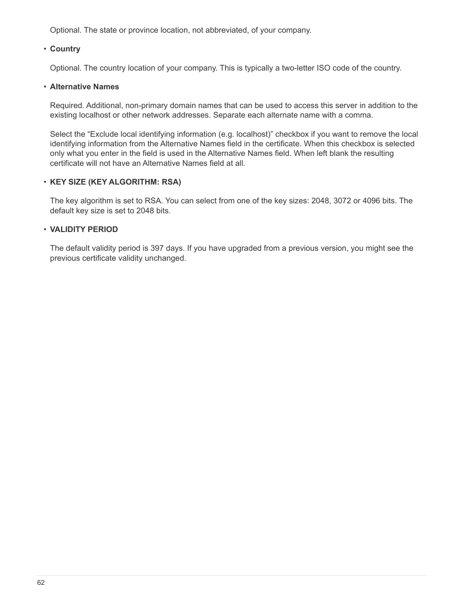Optional. The state or province location, not abbreviated, of your company.

#### • **Country**

Optional. The country location of your company. This is typically a two-letter ISO code of the country.

#### • **Alternative Names**

Required. Additional, non-primary domain names that can be used to access this server in addition to the existing localhost or other network addresses. Separate each alternate name with a comma.

Select the "Exclude local identifying information (e.g. localhost)" checkbox if you want to remove the local identifying information from the Alternative Names field in the certificate. When this checkbox is selected only what you enter in the field is used in the Alternative Names field. When left blank the resulting certificate will not have an Alternative Names field at all.

#### • **KEY SIZE (KEY ALGORITHM: RSA)**

The key algorithm is set to RSA. You can select from one of the key sizes: 2048, 3072 or 4096 bits. The default key size is set to 2048 bits.

#### • **VALIDITY PERIOD**

The default validity period is 397 days. If you have upgraded from a previous version, you might see the previous certificate validity unchanged.